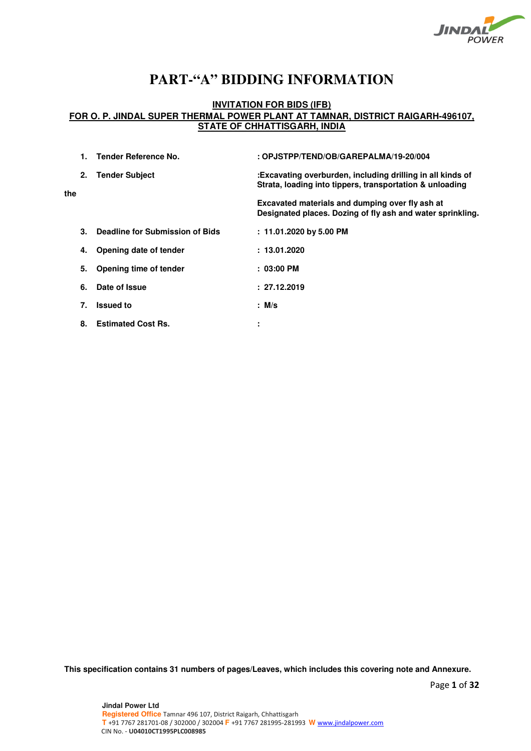

# **PART-"A" BIDDING INFORMATION**

# **INVITATION FOR BIDS (IFB) FOR O. P. JINDAL SUPER THERMAL POWER PLANT AT TAMNAR, DISTRICT RAIGARH-496107, STATE OF CHHATTISGARH, INDIA**

|     |    | Tender Reference No.            | : OPJSTPP/TEND/OB/GAREPALMA/19-20/004                                                                                  |
|-----|----|---------------------------------|------------------------------------------------------------------------------------------------------------------------|
| the | 2. | <b>Tender Subject</b>           | :Excavating overburden, including drilling in all kinds of<br>Strata, loading into tippers, transportation & unloading |
|     |    |                                 | Excavated materials and dumping over fly ash at<br>Designated places. Dozing of fly ash and water sprinkling.          |
|     | 3. | Deadline for Submission of Bids | $: 11.01.2020$ by 5.00 PM                                                                                              |
|     | 4. | Opening date of tender          | : 13.01.2020                                                                                                           |
|     | 5. | Opening time of tender          | $: 03:00 \, \text{PM}$                                                                                                 |
|     | 6. | Date of Issue                   | : 27.12.2019                                                                                                           |
|     | 7. | <b>Issued to</b>                | $:$ M/s                                                                                                                |
|     | 8. | <b>Estimated Cost Rs.</b>       | ٠<br>٠                                                                                                                 |

**This specification contains 31 numbers of pages/Leaves, which includes this covering note and Annexure.**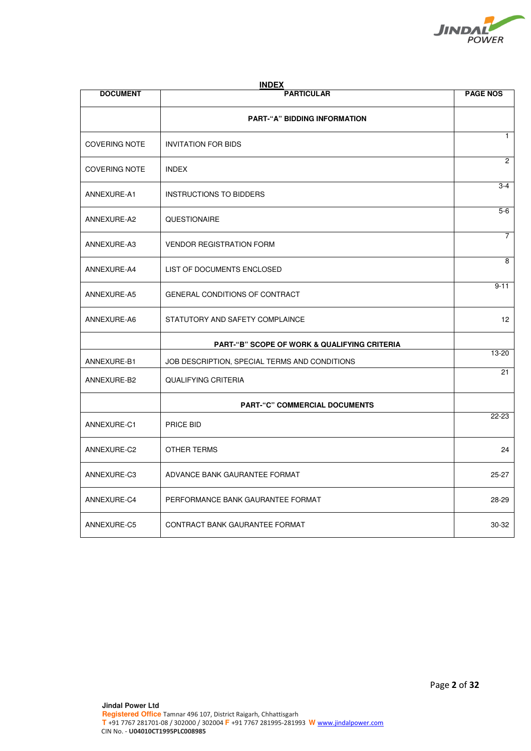

| <b>DOCUMENT</b>                                         | <b>INDEX</b><br><b>PARTICULAR</b>             | <b>PAGE NOS</b> |  |
|---------------------------------------------------------|-----------------------------------------------|-----------------|--|
|                                                         | <b>PART-"A" BIDDING INFORMATION</b>           |                 |  |
| <b>COVERING NOTE</b>                                    | <b>INVITATION FOR BIDS</b>                    | $\mathbf{1}$    |  |
| <b>COVERING NOTE</b>                                    | <b>INDEX</b>                                  | $\overline{2}$  |  |
| ANNEXURE-A1                                             | <b>INSTRUCTIONS TO BIDDERS</b>                | $3-4$           |  |
| ANNEXURE-A2                                             | QUESTIONAIRE                                  | $5-6$           |  |
| ANNEXURE-A3                                             | <b>VENDOR REGISTRATION FORM</b>               | $\overline{7}$  |  |
| ANNEXURE-A4                                             | LIST OF DOCUMENTS ENCLOSED                    | 8               |  |
| ANNEXURE-A5                                             | <b>GENERAL CONDITIONS OF CONTRACT</b>         | $9 - 11$        |  |
| ANNEXURE-A6                                             | STATUTORY AND SAFETY COMPLAINCE               | 12 <sup>2</sup> |  |
| <b>PART-"B" SCOPE OF WORK &amp; QUALIFYING CRITERIA</b> |                                               |                 |  |
| ANNEXURE-B1                                             | JOB DESCRIPTION, SPECIAL TERMS AND CONDITIONS | 13-20           |  |
| ANNEXURE-B2                                             | <b>QUALIFYING CRITERIA</b>                    | 21              |  |
|                                                         | <b>PART-"C" COMMERCIAL DOCUMENTS</b>          |                 |  |
| ANNEXURE-C1                                             | PRICE BID                                     | 22-23           |  |
| ANNEXURE-C2                                             | OTHER TERMS                                   | 24              |  |
| ANNEXURE-C3                                             | ADVANCE BANK GAURANTEE FORMAT                 | $25 - 27$       |  |
| ANNEXURE-C4                                             | PERFORMANCE BANK GAURANTEE FORMAT             | 28-29           |  |
| ANNEXURE-C5                                             | CONTRACT BANK GAURANTEE FORMAT                | 30-32           |  |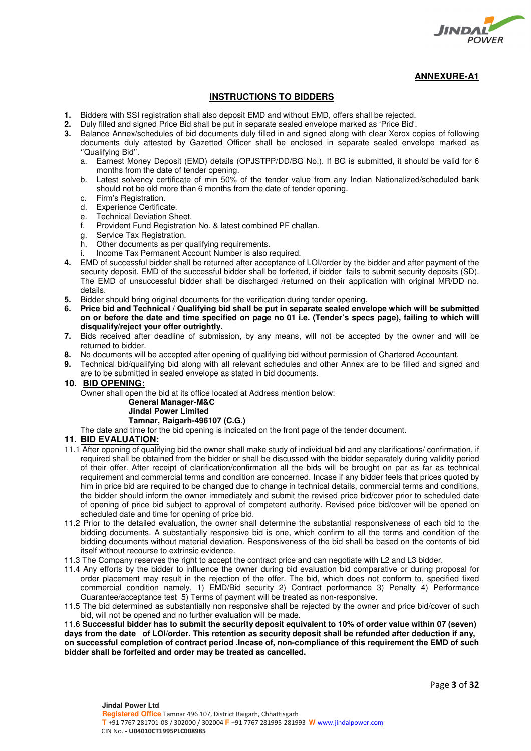

# **INSTRUCTIONS TO BIDDERS**

- **1.** Bidders with SSI registration shall also deposit EMD and without EMD, offers shall be rejected.
- **2.** Duly filled and signed Price Bid shall be put in separate sealed envelope marked as 'Price Bid'.
- **3.** Balance Annex/schedules of bid documents duly filled in and signed along with clear Xerox copies of following documents duly attested by Gazetted Officer shall be enclosed in separate sealed envelope marked as ''Qualifying Bid''.
	- a. Earnest Money Deposit (EMD) details (OPJSTPP/DD/BG No.). If BG is submitted, it should be valid for 6 months from the date of tender opening.
	- b. Latest solvency certificate of min 50% of the tender value from any Indian Nationalized/scheduled bank should not be old more than 6 months from the date of tender opening.
	- c. Firm's Registration.
	- d. Experience Certificate.
	- e. Technical Deviation Sheet.
	- f. Provident Fund Registration No. & latest combined PF challan.
	- g. Service Tax Registration.
	- h. Other documents as per qualifying requirements.
	- i. Income Tax Permanent Account Number is also required.
- **4.** EMD of successful bidder shall be returned after acceptance of LOI/order by the bidder and after payment of the security deposit. EMD of the successful bidder shall be forfeited, if bidder fails to submit security deposits (SD). The EMD of unsuccessful bidder shall be discharged /returned on their application with original MR/DD no. details.
- **5.** Bidder should bring original documents for the verification during tender opening.
- **6. Price bid and Technical / Qualifying bid shall be put in separate sealed envelope which will be submitted on or before the date and time specified on page no 01 i.e. (Tender's specs page), failing to which will disqualify/reject your offer outrightly.**
- **7.** Bids received after deadline of submission, by any means, will not be accepted by the owner and will be returned to bidder.
- **8.** No documents will be accepted after opening of qualifying bid without permission of Chartered Accountant.
- **9.** Technical bid/qualifying bid along with all relevant schedules and other Annex are to be filled and signed and are to be submitted in sealed envelope as stated in bid documents.
- **10. BID OPENING:**

Owner shall open the bid at its office located at Address mention below:

# **General Manager-M&C**

# **Jindal Power Limited**

 **Tamnar, Raigarh-496107 (C.G.)** 

The date and time for the bid opening is indicated on the front page of the tender document.

# **11. BID EVALUATION:**

- 11.1 After opening of qualifying bid the owner shall make study of individual bid and any clarifications/ confirmation, if required shall be obtained from the bidder or shall be discussed with the bidder separately during validity period of their offer. After receipt of clarification/confirmation all the bids will be brought on par as far as technical requirement and commercial terms and condition are concerned. Incase if any bidder feels that prices quoted by him in price bid are required to be changed due to change in technical details, commercial terms and conditions, the bidder should inform the owner immediately and submit the revised price bid/cover prior to scheduled date of opening of price bid subject to approval of competent authority. Revised price bid/cover will be opened on scheduled date and time for opening of price bid.
- 11.2 Prior to the detailed evaluation, the owner shall determine the substantial responsiveness of each bid to the bidding documents. A substantially responsive bid is one, which confirm to all the terms and condition of the bidding documents without material deviation. Responsiveness of the bid shall be based on the contents of bid itself without recourse to extrinsic evidence.
- 11.3 The Company reserves the right to accept the contract price and can negotiate with L2 and L3 bidder.
- 11.4 Any efforts by the bidder to influence the owner during bid evaluation bid comparative or during proposal for order placement may result in the rejection of the offer. The bid, which does not conform to, specified fixed commercial condition namely, 1) EMD/Bid security 2) Contract performance 3) Penalty 4) Performance Guarantee/acceptance test 5) Terms of payment will be treated as non-responsive.
- 11.5 The bid determined as substantially non responsive shall be rejected by the owner and price bid/cover of such bid, will not be opened and no further evaluation will be made.

11.6 **Successful bidder has to submit the security deposit equivalent to 10% of order value within 07 (seven) days from the date of LOI/order. This retention as security deposit shall be refunded after deduction if any, on successful completion of contract period .Incase of, non-compliance of this requirement the EMD of such bidder shall be forfeited and order may be treated as cancelled.**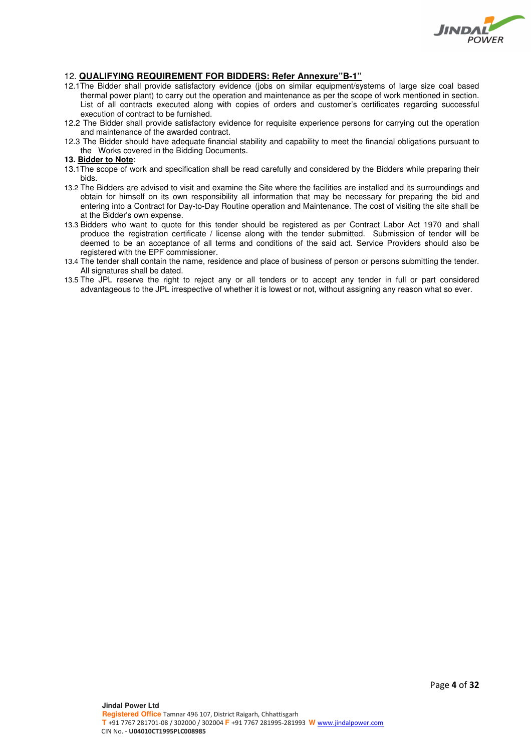

# 12. **QUALIFYING REQUIREMENT FOR BIDDERS: Refer Annexure"B-1"**

- 12.1The Bidder shall provide satisfactory evidence (jobs on similar equipment/systems of large size coal based thermal power plant) to carry out the operation and maintenance as per the scope of work mentioned in section. List of all contracts executed along with copies of orders and customer's certificates regarding successful execution of contract to be furnished.
- 12.2 The Bidder shall provide satisfactory evidence for requisite experience persons for carrying out the operation and maintenance of the awarded contract.
- 12.3 The Bidder should have adequate financial stability and capability to meet the financial obligations pursuant to the Works covered in the Bidding Documents.

#### **13. Bidder to Note**:

- 13.1The scope of work and specification shall be read carefully and considered by the Bidders while preparing their bids.
- 13.2 The Bidders are advised to visit and examine the Site where the facilities are installed and its surroundings and obtain for himself on its own responsibility all information that may be necessary for preparing the bid and entering into a Contract for Day-to-Day Routine operation and Maintenance. The cost of visiting the site shall be at the Bidder's own expense.
- 13.3 Bidders who want to quote for this tender should be registered as per Contract Labor Act 1970 and shall produce the registration certificate / license along with the tender submitted. Submission of tender will be deemed to be an acceptance of all terms and conditions of the said act. Service Providers should also be registered with the EPF commissioner.
- 13.4 The tender shall contain the name, residence and place of business of person or persons submitting the tender. All signatures shall be dated.
- 13.5 The JPL reserve the right to reject any or all tenders or to accept any tender in full or part considered advantageous to the JPL irrespective of whether it is lowest or not, without assigning any reason what so ever.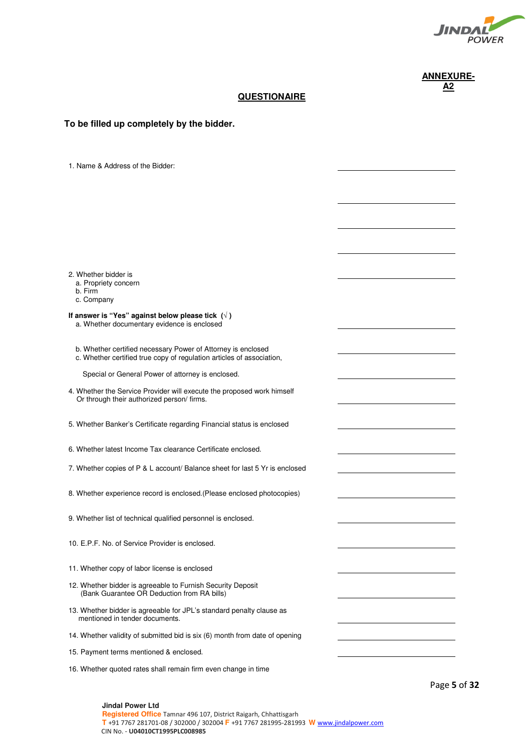

# **QUESTIONAIRE**

| To be filled up completely by the bidder.                                                                            |                                                                                                                      |
|----------------------------------------------------------------------------------------------------------------------|----------------------------------------------------------------------------------------------------------------------|
|                                                                                                                      |                                                                                                                      |
|                                                                                                                      |                                                                                                                      |
| 1. Name & Address of the Bidder:                                                                                     |                                                                                                                      |
|                                                                                                                      |                                                                                                                      |
|                                                                                                                      |                                                                                                                      |
|                                                                                                                      |                                                                                                                      |
|                                                                                                                      |                                                                                                                      |
|                                                                                                                      |                                                                                                                      |
| 2. Whether bidder is                                                                                                 |                                                                                                                      |
| a. Propriety concern<br>b. Firm                                                                                      |                                                                                                                      |
| c. Company<br>If answer is "Yes" against below please tick $(\sqrt{})$                                               |                                                                                                                      |
| a. Whether documentary evidence is enclosed                                                                          |                                                                                                                      |
| b. Whether certified necessary Power of Attorney is enclosed                                                         |                                                                                                                      |
| c. Whether certified true copy of regulation articles of association,                                                |                                                                                                                      |
| Special or General Power of attorney is enclosed.                                                                    |                                                                                                                      |
| 4. Whether the Service Provider will execute the proposed work himself<br>Or through their authorized person/ firms. |                                                                                                                      |
|                                                                                                                      |                                                                                                                      |
| 5. Whether Banker's Certificate regarding Financial status is enclosed                                               |                                                                                                                      |
| 6. Whether latest Income Tax clearance Certificate enclosed.                                                         |                                                                                                                      |
| 7. Whether copies of P & L account/ Balance sheet for last 5 Yr is enclosed                                          |                                                                                                                      |
|                                                                                                                      |                                                                                                                      |
| 8. Whether experience record is enclosed. (Please enclosed photocopies)                                              |                                                                                                                      |
| 9. Whether list of technical qualified personnel is enclosed.                                                        |                                                                                                                      |
|                                                                                                                      |                                                                                                                      |
| 10. E.P.F. No. of Service Provider is enclosed.                                                                      |                                                                                                                      |
| 11. Whether copy of labor license is enclosed                                                                        |                                                                                                                      |
| 12. Whether bidder is agreeable to Furnish Security Deposit<br>(Bank Guarantee OR Deduction from RA bills)           |                                                                                                                      |
| 13. Whether bidder is agreeable for JPL's standard penalty clause as<br>mentioned in tender documents.               | <u> 1980 - Johann Barn, mars ann an t-Amhain Aonaich an t-Aonaich an t-Aonaich ann an t-Aonaich ann an t-Aonaich</u> |
| 14. Whether validity of submitted bid is six (6) month from date of opening                                          |                                                                                                                      |
| 15. Payment terms mentioned & enclosed.                                                                              |                                                                                                                      |
| 16. Whether quoted rates shall remain firm even change in time                                                       |                                                                                                                      |

Page **5** of **32**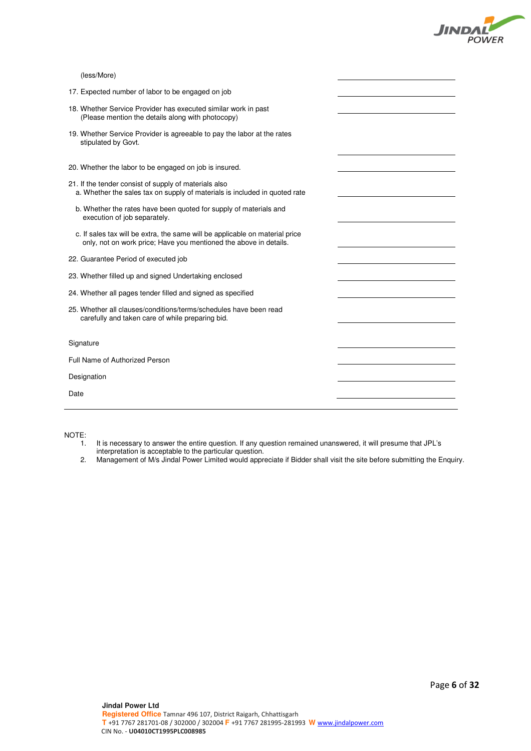

| 17. Expected number of labor to be engaged on job                                                                                                 |  |
|---------------------------------------------------------------------------------------------------------------------------------------------------|--|
| 18. Whether Service Provider has executed similar work in past<br>(Please mention the details along with photocopy)                               |  |
| 19. Whether Service Provider is agreeable to pay the labor at the rates<br>stipulated by Govt.                                                    |  |
| 20. Whether the labor to be engaged on job is insured.                                                                                            |  |
| 21. If the tender consist of supply of materials also<br>a. Whether the sales tax on supply of materials is included in quoted rate               |  |
| b. Whether the rates have been quoted for supply of materials and<br>execution of job separately.                                                 |  |
| c. If sales tax will be extra, the same will be applicable on material price<br>only, not on work price; Have you mentioned the above in details. |  |
| 22. Guarantee Period of executed job                                                                                                              |  |
| 23. Whether filled up and signed Undertaking enclosed                                                                                             |  |
| 24. Whether all pages tender filled and signed as specified                                                                                       |  |
| 25. Whether all clauses/conditions/terms/schedules have been read<br>carefully and taken care of while preparing bid.                             |  |
|                                                                                                                                                   |  |
| Signature                                                                                                                                         |  |
| Full Name of Authorized Person                                                                                                                    |  |
| Designation                                                                                                                                       |  |
| Date                                                                                                                                              |  |
|                                                                                                                                                   |  |

NOTE:<br>1.

- 1. It is necessary to answer the entire question. If any question remained unanswered, it will presume that JPL's
- interpretation is acceptable to the particular question.
- 2. Management of M/s Jindal Power Limited would appreciate if Bidder shall visit the site before submitting the Enquiry.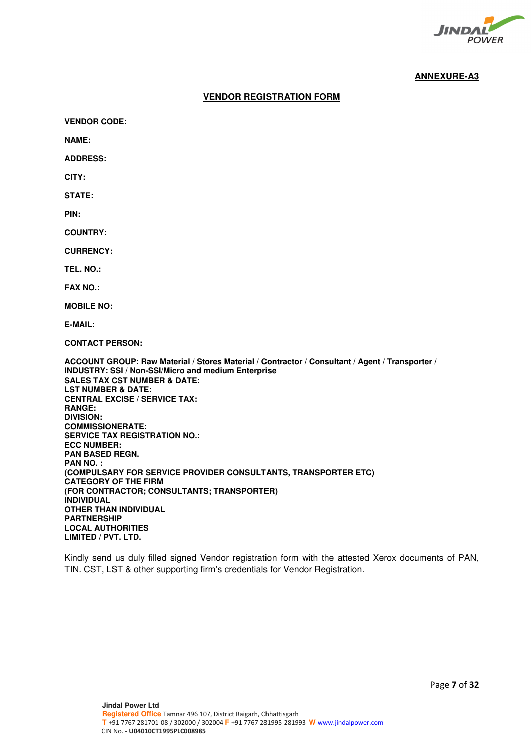

# **VENDOR REGISTRATION FORM**

**VENDOR CODE:** 

**NAME:** 

**ADDRESS:** 

**CITY:** 

**STATE:** 

**PIN:** 

**COUNTRY:** 

**CURRENCY:** 

**TEL. NO.:** 

**FAX NO.:** 

**MOBILE NO:** 

**E-MAIL:** 

**CONTACT PERSON:** 

**ACCOUNT GROUP: Raw Material / Stores Material / Contractor / Consultant / Agent / Transporter / INDUSTRY: SSI / Non-SSI/Micro and medium Enterprise SALES TAX CST NUMBER & DATE: LST NUMBER & DATE: CENTRAL EXCISE / SERVICE TAX: RANGE: DIVISION: COMMISSIONERATE: SERVICE TAX REGISTRATION NO.: ECC NUMBER: PAN BASED REGN. PAN NO. : (COMPULSARY FOR SERVICE PROVIDER CONSULTANTS, TRANSPORTER ETC) CATEGORY OF THE FIRM (FOR CONTRACTOR; CONSULTANTS; TRANSPORTER) INDIVIDUAL OTHER THAN INDIVIDUAL PARTNERSHIP LOCAL AUTHORITIES LIMITED / PVT. LTD.** 

Kindly send us duly filled signed Vendor registration form with the attested Xerox documents of PAN, TIN. CST, LST & other supporting firm's credentials for Vendor Registration.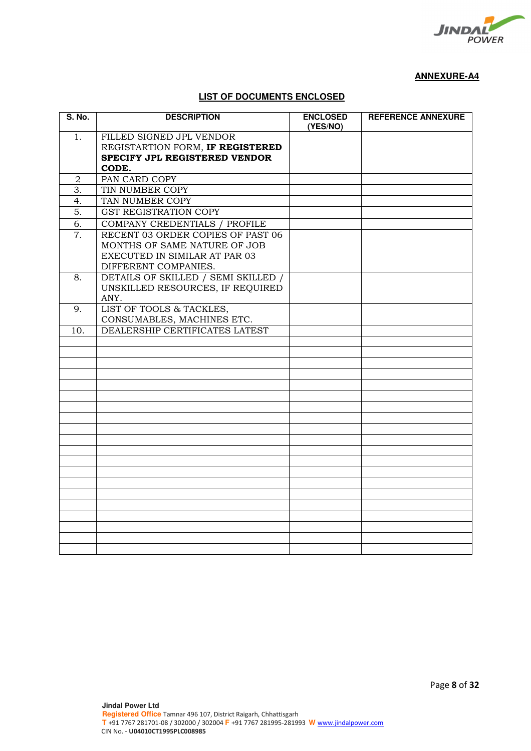

# **LIST OF DOCUMENTS ENCLOSED**

| <b>S. No.</b>    | <b>DESCRIPTION</b>                  | <b>ENCLOSED</b><br>(YES/NO) | <b>REFERENCE ANNEXURE</b> |
|------------------|-------------------------------------|-----------------------------|---------------------------|
| 1.               | FILLED SIGNED JPL VENDOR            |                             |                           |
|                  | REGISTARTION FORM, IF REGISTERED    |                             |                           |
|                  | SPECIFY JPL REGISTERED VENDOR       |                             |                           |
|                  | CODE.                               |                             |                           |
| $\overline{2}$   | PAN CARD COPY                       |                             |                           |
| 3.               | TIN NUMBER COPY                     |                             |                           |
| 4.               | TAN NUMBER COPY                     |                             |                           |
| 5.               | GST REGISTRATION COPY               |                             |                           |
| 6.               | COMPANY CREDENTIALS / PROFILE       |                             |                           |
| $\overline{7}$ . | RECENT 03 ORDER COPIES OF PAST 06   |                             |                           |
|                  | MONTHS OF SAME NATURE OF JOB        |                             |                           |
|                  | EXECUTED IN SIMILAR AT PAR 03       |                             |                           |
|                  | DIFFERENT COMPANIES.                |                             |                           |
| 8.               | DETAILS OF SKILLED / SEMI SKILLED / |                             |                           |
|                  | UNSKILLED RESOURCES, IF REQUIRED    |                             |                           |
|                  | ANY.                                |                             |                           |
| 9.               | LIST OF TOOLS & TACKLES,            |                             |                           |
|                  | CONSUMABLES, MACHINES ETC.          |                             |                           |
| 10.              | DEALERSHIP CERTIFICATES LATEST      |                             |                           |
|                  |                                     |                             |                           |
|                  |                                     |                             |                           |
|                  |                                     |                             |                           |
|                  |                                     |                             |                           |
|                  |                                     |                             |                           |
|                  |                                     |                             |                           |
|                  |                                     |                             |                           |
|                  |                                     |                             |                           |
|                  |                                     |                             |                           |
|                  |                                     |                             |                           |
|                  |                                     |                             |                           |
|                  |                                     |                             |                           |
|                  |                                     |                             |                           |
|                  |                                     |                             |                           |
|                  |                                     |                             |                           |
|                  |                                     |                             |                           |
|                  |                                     |                             |                           |
|                  |                                     |                             |                           |
|                  |                                     |                             |                           |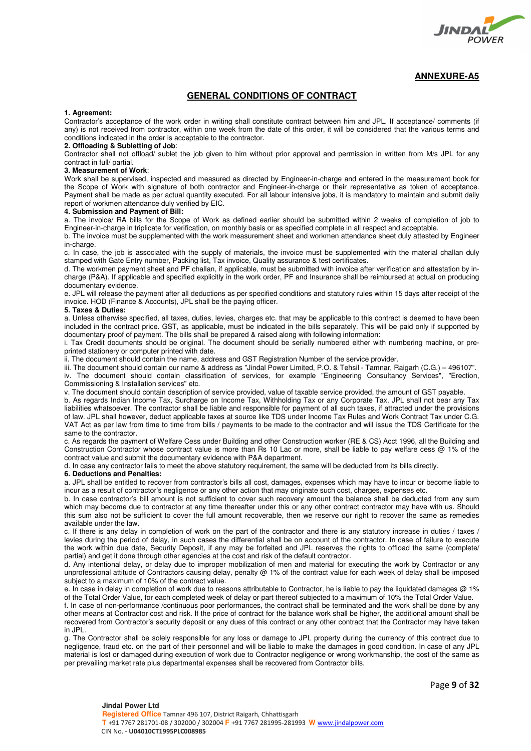

#### **GENERAL CONDITIONS OF CONTRACT**

#### **1. Agreement:**

Contractor's acceptance of the work order in writing shall constitute contract between him and JPL. If acceptance/ comments (if any) is not received from contractor, within one week from the date of this order, it will be considered that the various terms and conditions indicated in the order is acceptable to the contractor.

#### **2. Offloading & Subletting of Job**:

Contractor shall not offload/ sublet the job given to him without prior approval and permission in written from M/s JPL for any contract in full/ partial.

#### **3. Measurement of Work**:

Work shall be supervised, inspected and measured as directed by Engineer-in-charge and entered in the measurement book for the Scope of Work with signature of both contractor and Engineer-in-charge or their representative as token of acceptance. Payment shall be made as per actual quantity executed. For all labour intensive jobs, it is mandatory to maintain and submit daily report of workmen attendance duly verified by EIC.

#### **4. Submission and Payment of Bill:**

a. The invoice/ RA bills for the Scope of Work as defined earlier should be submitted within 2 weeks of completion of job to Engineer-in-charge in triplicate for verification, on monthly basis or as specified complete in all respect and acceptable.

b. The invoice must be supplemented with the work measurement sheet and workmen attendance sheet duly attested by Engineer in-charge.

c. In case, the job is associated with the supply of materials, the invoice must be supplemented with the material challan duly stamped with Gate Entry number, Packing list, Tax invoice, Quality assurance & test certificates.

d. The workmen payment sheet and PF challan, if applicable, must be submitted with invoice after verification and attestation by incharge (P&A). If applicable and specified explicitly in the work order, PF and Insurance shall be reimbursed at actual on producing documentary evidence.

e. JPL will release the payment after all deductions as per specified conditions and statutory rules within 15 days after receipt of the invoice. HOD (Finance & Accounts), JPL shall be the paying officer.

#### **5. Taxes & Duties:**

a. Unless otherwise specified, all taxes, duties, levies, charges etc. that may be applicable to this contract is deemed to have been included in the contract price. GST, as applicable, must be indicated in the bills separately. This will be paid only if supported by documentary proof of payment. The bills shall be prepared & raised along with following information:

i. Tax Credit documents should be original. The document should be serially numbered either with numbering machine, or preprinted stationery or computer printed with date.

ii. The document should contain the name, address and GST Registration Number of the service provider.

iii. The document should contain our name & address as "Jindal Power Limited, P.O. & Tehsil - Tamnar, Raigarh (C.G.) – 496107".

iv. The document should contain classification of services, for example "Engineering Consultancy Services", "Erection, Commissioning & Installation services" etc.

v. The document should contain description of service provided, value of taxable service provided, the amount of GST payable.

b. As regards Indian Income Tax, Surcharge on Income Tax, Withholding Tax or any Corporate Tax, JPL shall not bear any Tax liabilities whatsoever. The contractor shall be liable and responsible for payment of all such taxes, if attracted under the provisions of law. JPL shall however, deduct applicable taxes at source like TDS under Income Tax Rules and Work Contract Tax under C.G. VAT Act as per law from time to time from bills / payments to be made to the contractor and will issue the TDS Certificate for the same to the contractor.

c. As regards the payment of Welfare Cess under Building and other Construction worker (RE & CS) Acct 1996, all the Building and Construction Contractor whose contract value is more than Rs 10 Lac or more, shall be liable to pay welfare cess @ 1% of the contract value and submit the documentary evidence with P&A department.

d. In case any contractor fails to meet the above statutory requirement, the same will be deducted from its bills directly.

#### **6. Deductions and Penalties:**

a. JPL shall be entitled to recover from contractor's bills all cost, damages, expenses which may have to incur or become liable to incur as a result of contractor's negligence or any other action that may originate such cost, charges, expenses etc.

b. In case contractor's bill amount is not sufficient to cover such recovery amount the balance shall be deducted from any sum which may become due to contractor at any time thereafter under this or any other contract contractor may have with us. Should this sum also not be sufficient to cover the full amount recoverable, then we reserve our right to recover the same as remedies available under the law.

c. If there is any delay in completion of work on the part of the contractor and there is any statutory increase in duties / taxes / levies during the period of delay, in such cases the differential shall be on account of the contractor. In case of failure to execute the work within due date, Security Deposit, if any may be forfeited and JPL reserves the rights to offload the same (complete/ partial) and get it done through other agencies at the cost and risk of the default contractor.

d. Any intentional delay, or delay due to improper mobilization of men and material for executing the work by Contractor or any unprofessional attitude of Contractors causing delay, penalty @ 1% of the contract value for each week of delay shall be imposed subject to a maximum of 10% of the contract value.

e. In case in delay in completion of work due to reasons attributable to Contractor, he is liable to pay the liquidated damages @ 1% of the Total Order Value, for each completed week of delay or part thereof subjected to a maximum of 10% the Total Order Value.

f. In case of non-performance /continuous poor performances, the contract shall be terminated and the work shall be done by any other means at Contractor cost and risk. If the price of contract for the balance work shall be higher, the additional amount shall be recovered from Contractor's security deposit or any dues of this contract or any other contract that the Contractor may have taken in JPL.

g. The Contractor shall be solely responsible for any loss or damage to JPL property during the currency of this contract due to negligence, fraud etc. on the part of their personnel and will be liable to make the damages in good condition. In case of any JPL material is lost or damaged during execution of work due to Contractor negligence or wrong workmanship, the cost of the same as per prevailing market rate plus departmental expenses shall be recovered from Contractor bills.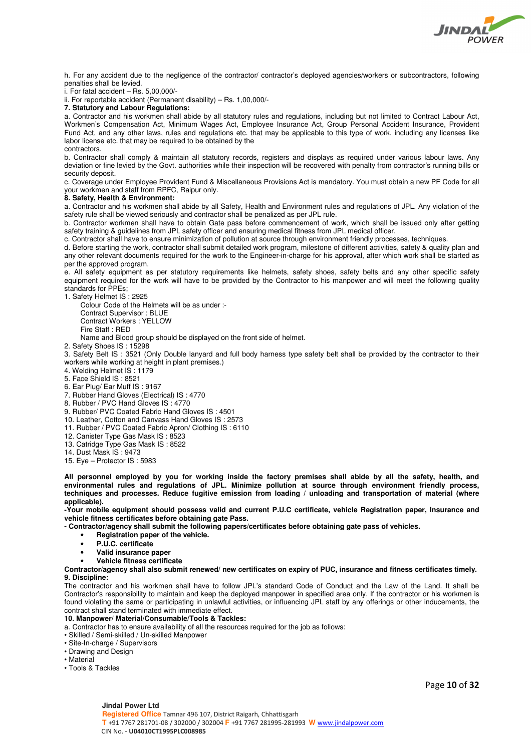

h. For any accident due to the negligence of the contractor/ contractor's deployed agencies/workers or subcontractors, following penalties shall be levied.

i. For fatal accident – Rs. 5,00,000/-

ii. For reportable accident (Permanent disability) – Rs. 1,00,000/-

**7. Statutory and Labour Regulations:** 

a. Contractor and his workmen shall abide by all statutory rules and regulations, including but not limited to Contract Labour Act, Workmen's Compensation Act, Minimum Wages Act, Employee Insurance Act, Group Personal Accident Insurance, Provident Fund Act, and any other laws, rules and regulations etc. that may be applicable to this type of work, including any licenses like labor license etc. that may be required to be obtained by the contractors.

b. Contractor shall comply & maintain all statutory records, registers and displays as required under various labour laws. Any deviation or fine levied by the Govt. authorities while their inspection will be recovered with penalty from contractor's running bills or security deposit.

c. Coverage under Employee Provident Fund & Miscellaneous Provisions Act is mandatory. You must obtain a new PF Code for all your workmen and staff from RPFC, Raipur only.

#### **8. Safety, Health & Environment:**

a. Contractor and his workmen shall abide by all Safety, Health and Environment rules and regulations of JPL. Any violation of the safety rule shall be viewed seriously and contractor shall be penalized as per JPL rule.

b. Contractor workmen shall have to obtain Gate pass before commencement of work, which shall be issued only after getting safety training & guidelines from JPL safety officer and ensuring medical fitness from JPL medical officer.

c. Contractor shall have to ensure minimization of pollution at source through environment friendly processes, techniques.

d. Before starting the work, contractor shall submit detailed work program, milestone of different activities, safety & quality plan and any other relevant documents required for the work to the Engineer-in-charge for his approval, after which work shall be started as per the approved program.

e. All safety equipment as per statutory requirements like helmets, safety shoes, safety belts and any other specific safety equipment required for the work will have to be provided by the Contractor to his manpower and will meet the following quality standards for PPEs;

1. Safety Helmet IS : 2925

Colour Code of the Helmets will be as under :-

Contract Supervisor : BLUE Contract Workers : YELLOW

Fire Staff : RED

Name and Blood group should be displayed on the front side of helmet.

2. Safety Shoes IS : 15298

3. Safety Belt IS : 3521 (Only Double lanyard and full body harness type safety belt shall be provided by the contractor to their workers while working at height in plant premises.)

- 4. Welding Helmet IS : 1179
- 5. Face Shield IS : 8521
- 6. Ear Plug/ Ear Muff IS : 9167
- 7. Rubber Hand Gloves (Electrical) IS : 4770
- 8. Rubber / PVC Hand Gloves IS: 4770
- 9. Rubber/ PVC Coated Fabric Hand Gloves IS : 4501
- 10. Leather, Cotton and Canvass Hand Gloves IS : 2573
- 11. Rubber / PVC Coated Fabric Apron/ Clothing IS : 6110
- 12. Canister Type Gas Mask IS : 8523
- 13. Catridge Type Gas Mask IS : 8522
- 14. Dust Mask IS : 9473
- 15. Eye Protector IS : 5983

**All personnel employed by you for working inside the factory premises shall abide by all the safety, health, and environmental rules and regulations of JPL. Minimize pollution at source through environment friendly process, techniques and processes. Reduce fugitive emission from loading / unloading and transportation of material (where applicable).** 

**-Your mobile equipment should possess valid and current P.U.C certificate, vehicle Registration paper, Insurance and vehicle fitness certificates before obtaining gate Pass.** 

**- Contractor/agency shall submit the following papers/certificates before obtaining gate pass of vehicles.** 

- **Registration paper of the vehicle.**
- **P.U.C. certificate**
- **Valid insurance paper**
- **Vehicle fitness certificate**

**Contractor/agency shall also submit renewed/ new certificates on expiry of PUC, insurance and fitness certificates timely. 9. Discipline:** 

The contractor and his workmen shall have to follow JPL's standard Code of Conduct and the Law of the Land. It shall be Contractor's responsibility to maintain and keep the deployed manpower in specified area only. If the contractor or his workmen is found violating the same or participating in unlawful activities, or influencing JPL staff by any offerings or other inducements, the contract shall stand terminated with immediate effect.

#### **10. Manpower/ Material/Consumable/Tools & Tackles:**

a. Contractor has to ensure availability of all the resources required for the job as follows:

- Skilled / Semi-skilled / Un-skilled Manpower
- Site-In-charge / Supervisors
- Drawing and Design
- Material
- Tools & Tackles

Page **10** of **32**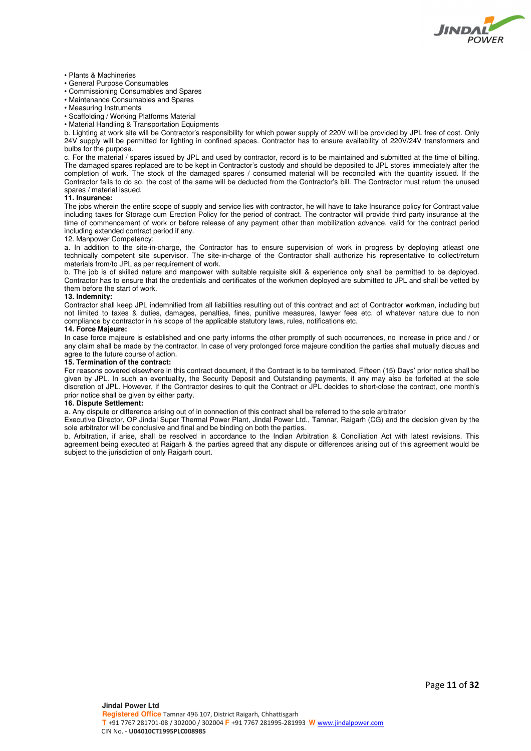

#### • Plants & Machineries

- General Purpose Consumables
- Commissioning Consumables and Spares
- Maintenance Consumables and Spares
- Measuring Instruments
- Scaffolding / Working Platforms Material
- Material Handling & Transportation Equipments

b. Lighting at work site will be Contractor's responsibility for which power supply of 220V will be provided by JPL free of cost. Only 24V supply will be permitted for lighting in confined spaces. Contractor has to ensure availability of 220V/24V transformers and bulbs for the purpose.

c. For the material / spares issued by JPL and used by contractor, record is to be maintained and submitted at the time of billing. The damaged spares replaced are to be kept in Contractor's custody and should be deposited to JPL stores immediately after the completion of work. The stock of the damaged spares / consumed material will be reconciled with the quantity issued. If the Contractor fails to do so, the cost of the same will be deducted from the Contractor's bill. The Contractor must return the unused spares / material issued.

#### **11. Insurance:**

The jobs wherein the entire scope of supply and service lies with contractor, he will have to take Insurance policy for Contract value including taxes for Storage cum Erection Policy for the period of contract. The contractor will provide third party insurance at the time of commencement of work or before release of any payment other than mobilization advance, valid for the contract period including extended contract period if any.

#### 12. Manpower Competency:

a. In addition to the site-in-charge, the Contractor has to ensure supervision of work in progress by deploying atleast one technically competent site supervisor. The site-in-charge of the Contractor shall authorize his representative to collect/return materials from/to JPL as per requirement of work.

b. The job is of skilled nature and manpower with suitable requisite skill & experience only shall be permitted to be deployed. Contractor has to ensure that the credentials and certificates of the workmen deployed are submitted to JPL and shall be vetted by them before the start of work.

#### **13. Indemnity:**

Contractor shall keep JPL indemnified from all liabilities resulting out of this contract and act of Contractor workman, including but not limited to taxes & duties, damages, penalties, fines, punitive measures, lawyer fees etc. of whatever nature due to non compliance by contractor in his scope of the applicable statutory laws, rules, notifications etc.

#### **14. Force Majeure:**

In case force majeure is established and one party informs the other promptly of such occurrences, no increase in price and / or any claim shall be made by the contractor. In case of very prolonged force majeure condition the parties shall mutually discuss and agree to the future course of action.

#### **15. Termination of the contract:**

For reasons covered elsewhere in this contract document, if the Contract is to be terminated, Fifteen (15) Days' prior notice shall be given by JPL. In such an eventuality, the Security Deposit and Outstanding payments, if any may also be forfeited at the sole discretion of JPL. However, if the Contractor desires to quit the Contract or JPL decides to short-close the contract, one month's prior notice shall be given by either party.

#### **16. Dispute Settlement:**

a. Any dispute or difference arising out of in connection of this contract shall be referred to the sole arbitrator

Executive Director, OP Jindal Super Thermal Power Plant, Jindal Power Ltd., Tamnar, Raigarh (CG) and the decision given by the sole arbitrator will be conclusive and final and be binding on both the parties.

b. Arbitration, if arise, shall be resolved in accordance to the Indian Arbitration & Conciliation Act with latest revisions. This agreement being executed at Raigarh & the parties agreed that any dispute or differences arising out of this agreement would be subject to the jurisdiction of only Raigarh court.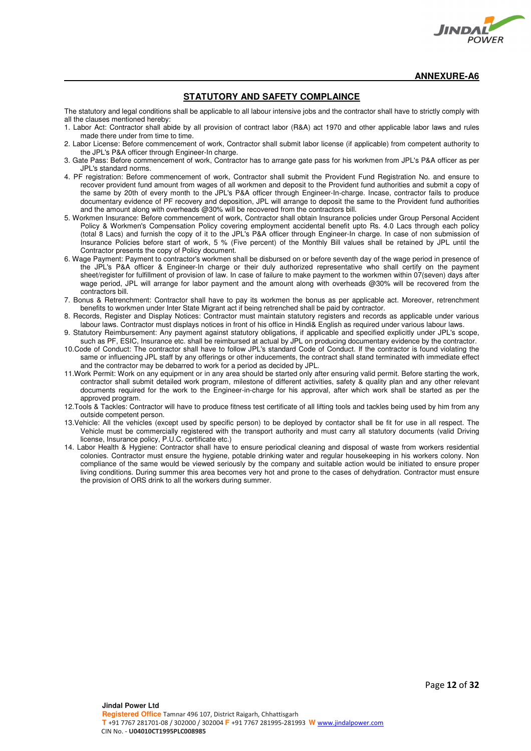

### **STATUTORY AND SAFETY COMPLAINCE**

The statutory and legal conditions shall be applicable to all labour intensive jobs and the contractor shall have to strictly comply with all the clauses mentioned hereby:

- 1. Labor Act: Contractor shall abide by all provision of contract labor (R&A) act 1970 and other applicable labor laws and rules made there under from time to time.
- 2. Labor License: Before commencement of work, Contractor shall submit labor license (if applicable) from competent authority to the JPL's P&A officer through Engineer-In charge.
- 3. Gate Pass: Before commencement of work, Contractor has to arrange gate pass for his workmen from JPL's P&A officer as per JPL's standard norms.
- 4. PF registration: Before commencement of work, Contractor shall submit the Provident Fund Registration No. and ensure to recover provident fund amount from wages of all workmen and deposit to the Provident fund authorities and submit a copy of the same by 20th of every month to the JPL's P&A officer through Engineer-In-charge. Incase, contractor fails to produce documentary evidence of PF recovery and deposition, JPL will arrange to deposit the same to the Provident fund authorities and the amount along with overheads @30% will be recovered from the contractors bill.
- 5. Workmen Insurance: Before commencement of work, Contractor shall obtain Insurance policies under Group Personal Accident Policy & Workmen's Compensation Policy covering employment accidental benefit upto Rs. 4.0 Lacs through each policy (total 8 Lacs) and furnish the copy of it to the JPL's P&A officer through Engineer-In charge. In case of non submission of Insurance Policies before start of work, 5 % (Five percent) of the Monthly Bill values shall be retained by JPL until the Contractor presents the copy of Policy document.
- 6. Wage Payment: Payment to contractor's workmen shall be disbursed on or before seventh day of the wage period in presence of the JPL's P&A officer & Engineer-In charge or their duly authorized representative who shall certify on the payment sheet/register for fulfillment of provision of law. In case of failure to make payment to the workmen within 07(seven) days after wage period, JPL will arrange for labor payment and the amount along with overheads @30% will be recovered from the contractors bill.
- 7. Bonus & Retrenchment: Contractor shall have to pay its workmen the bonus as per applicable act. Moreover, retrenchment benefits to workmen under Inter State Migrant act if being retrenched shall be paid by contractor.
- 8. Records, Register and Display Notices: Contractor must maintain statutory registers and records as applicable under various labour laws. Contractor must displays notices in front of his office in Hindi& English as required under various labour laws.
- 9. Statutory Reimbursement: Any payment against statutory obligations, if applicable and specified explicitly under JPL's scope, such as PF, ESIC, Insurance etc. shall be reimbursed at actual by JPL on producing documentary evidence by the contractor.
- 10.Code of Conduct: The contractor shall have to follow JPL's standard Code of Conduct. If the contractor is found violating the same or influencing JPL staff by any offerings or other inducements, the contract shall stand terminated with immediate effect and the contractor may be debarred to work for a period as decided by JPL.
- 11.Work Permit: Work on any equipment or in any area should be started only after ensuring valid permit. Before starting the work, contractor shall submit detailed work program, milestone of different activities, safety & quality plan and any other relevant documents required for the work to the Engineer-in-charge for his approval, after which work shall be started as per the approved program.
- 12.Tools & Tackles: Contractor will have to produce fitness test certificate of all lifting tools and tackles being used by him from any outside competent person.
- 13.Vehicle: All the vehicles (except used by specific person) to be deployed by contactor shall be fit for use in all respect. The Vehicle must be commercially registered with the transport authority and must carry all statutory documents (valid Driving license, Insurance policy, P.U.C. certificate etc.)
- 14. Labor Health & Hygiene: Contractor shall have to ensure periodical cleaning and disposal of waste from workers residential colonies. Contractor must ensure the hygiene, potable drinking water and regular housekeeping in his workers colony. Non compliance of the same would be viewed seriously by the company and suitable action would be initiated to ensure proper living conditions. During summer this area becomes very hot and prone to the cases of dehydration. Contractor must ensure the provision of ORS drink to all the workers during summer.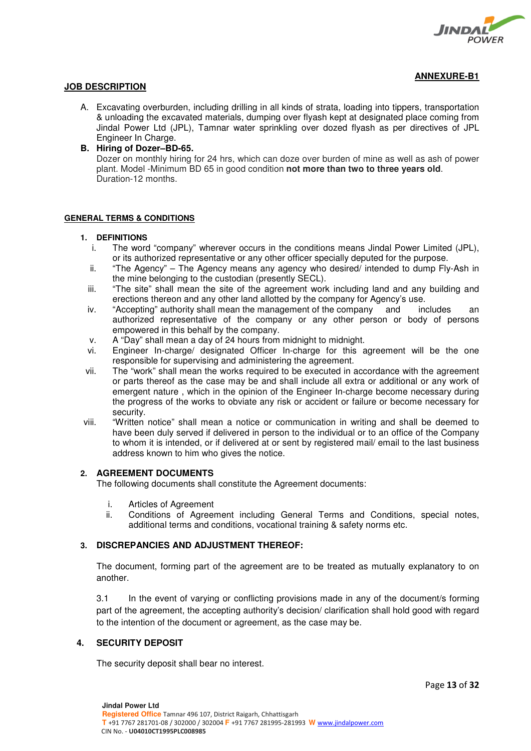

# **ANNEXURE-B1**

# **JOB DESCRIPTION**

A. Excavating overburden, including drilling in all kinds of strata, loading into tippers, transportation & unloading the excavated materials, dumping over flyash kept at designated place coming from Jindal Power Ltd (JPL), Tamnar water sprinkling over dozed flyash as per directives of JPL Engineer In Charge.

# **B. Hiring of Dozer–BD-65.**

Dozer on monthly hiring for 24 hrs, which can doze over burden of mine as well as ash of power plant. Model -Minimum BD 65 in good condition **not more than two to three years old**. Duration-12 months.

# **GENERAL TERMS & CONDITIONS**

### **1. DEFINITIONS**

- i. The word "company" wherever occurs in the conditions means Jindal Power Limited (JPL), or its authorized representative or any other officer specially deputed for the purpose.
- ii. "The Agency" The Agency means any agency who desired/ intended to dump Fly-Ash in the mine belonging to the custodian (presently SECL).
- iii. "The site" shall mean the site of the agreement work including land and any building and erections thereon and any other land allotted by the company for Agency's use.
- iv. "Accepting" authority shall mean the management of the company and includes an authorized representative of the company or any other person or body of persons empowered in this behalf by the company.
- v. A "Day" shall mean a day of 24 hours from midnight to midnight.
- vi. Engineer In-charge/ designated Officer In-charge for this agreement will be the one responsible for supervising and administering the agreement.
- vii. The "work" shall mean the works required to be executed in accordance with the agreement or parts thereof as the case may be and shall include all extra or additional or any work of emergent nature , which in the opinion of the Engineer In-charge become necessary during the progress of the works to obviate any risk or accident or failure or become necessary for security.
- viii. "Written notice" shall mean a notice or communication in writing and shall be deemed to have been duly served if delivered in person to the individual or to an office of the Company to whom it is intended, or if delivered at or sent by registered mail/ email to the last business address known to him who gives the notice.

# **2. AGREEMENT DOCUMENTS**

The following documents shall constitute the Agreement documents:

- i. Articles of Agreement<br>ii. Conditions of Agreen
- Conditions of Agreement including General Terms and Conditions, special notes, additional terms and conditions, vocational training & safety norms etc.

# **3. DISCREPANCIES AND ADJUSTMENT THEREOF:**

The document, forming part of the agreement are to be treated as mutually explanatory to on another.

3.1 In the event of varying or conflicting provisions made in any of the document/s forming part of the agreement, the accepting authority's decision/ clarification shall hold good with regard to the intention of the document or agreement, as the case may be.

# **4. SECURITY DEPOSIT**

The security deposit shall bear no interest.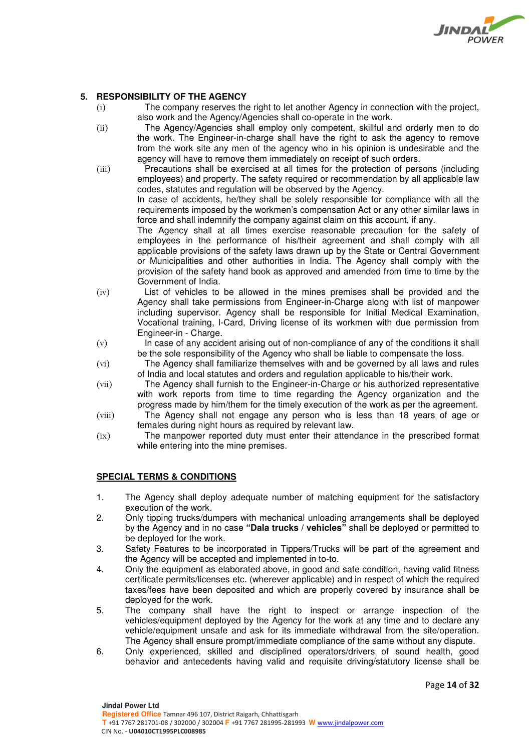

# **5. RESPONSIBILITY OF THE AGENCY**

- (i) The company reserves the right to let another Agency in connection with the project, also work and the Agency/Agencies shall co-operate in the work.
- (ii) The Agency/Agencies shall employ only competent, skillful and orderly men to do the work. The Engineer-in-charge shall have the right to ask the agency to remove from the work site any men of the agency who in his opinion is undesirable and the agency will have to remove them immediately on receipt of such orders.
- (iii) Precautions shall be exercised at all times for the protection of persons (including employees) and property. The safety required or recommendation by all applicable law codes, statutes and regulation will be observed by the Agency.

In case of accidents, he/they shall be solely responsible for compliance with all the requirements imposed by the workmen's compensation Act or any other similar laws in force and shall indemnify the company against claim on this account, if any.

The Agency shall at all times exercise reasonable precaution for the safety of employees in the performance of his/their agreement and shall comply with all applicable provisions of the safety laws drawn up by the State or Central Government or Municipalities and other authorities in India. The Agency shall comply with the provision of the safety hand book as approved and amended from time to time by the Government of India.

- (iv) List of vehicles to be allowed in the mines premises shall be provided and the Agency shall take permissions from Engineer-in-Charge along with list of manpower including supervisor. Agency shall be responsible for Initial Medical Examination, Vocational training, I-Card, Driving license of its workmen with due permission from Engineer-in - Charge.
- (v) In case of any accident arising out of non-compliance of any of the conditions it shall be the sole responsibility of the Agency who shall be liable to compensate the loss.
- (vi) The Agency shall familiarize themselves with and be governed by all laws and rules of India and local statutes and orders and regulation applicable to his/their work.
- (vii) The Agency shall furnish to the Engineer-in-Charge or his authorized representative with work reports from time to time regarding the Agency organization and the progress made by him/them for the timely execution of the work as per the agreement.
- (viii) The Agency shall not engage any person who is less than 18 years of age or females during night hours as required by relevant law.
- (ix) The manpower reported duty must enter their attendance in the prescribed format while entering into the mine premises.

# **SPECIAL TERMS & CONDITIONS**

- 1. The Agency shall deploy adequate number of matching equipment for the satisfactory execution of the work.
- 2. Only tipping trucks/dumpers with mechanical unloading arrangements shall be deployed by the Agency and in no case **"Dala trucks / vehicles"** shall be deployed or permitted to be deployed for the work.
- 3. Safety Features to be incorporated in Tippers/Trucks will be part of the agreement and the Agency will be accepted and implemented in to-to.
- 4. Only the equipment as elaborated above, in good and safe condition, having valid fitness certificate permits/licenses etc. (wherever applicable) and in respect of which the required taxes/fees have been deposited and which are properly covered by insurance shall be deployed for the work.
- 5. The company shall have the right to inspect or arrange inspection of the vehicles/equipment deployed by the Agency for the work at any time and to declare any vehicle/equipment unsafe and ask for its immediate withdrawal from the site/operation. The Agency shall ensure prompt/immediate compliance of the same without any dispute.
- 6. Only experienced, skilled and disciplined operators/drivers of sound health, good behavior and antecedents having valid and requisite driving/statutory license shall be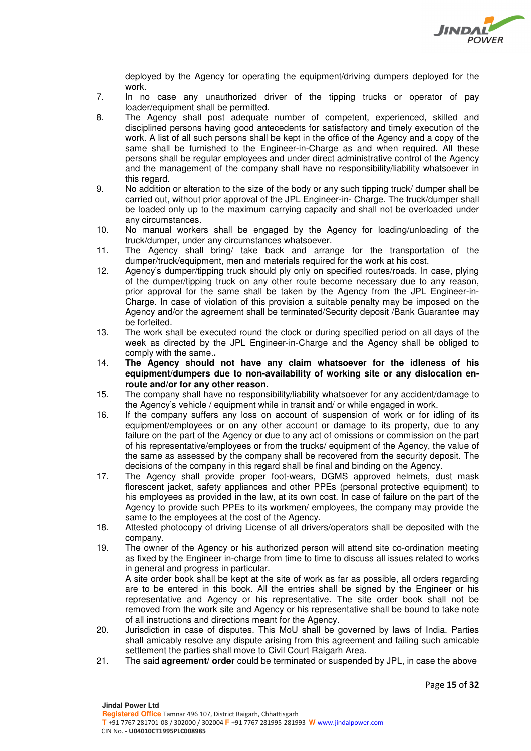

deployed by the Agency for operating the equipment/driving dumpers deployed for the work.

- 7. In no case any unauthorized driver of the tipping trucks or operator of pay loader/equipment shall be permitted.
- 8. The Agency shall post adequate number of competent, experienced, skilled and disciplined persons having good antecedents for satisfactory and timely execution of the work. A list of all such persons shall be kept in the office of the Agency and a copy of the same shall be furnished to the Engineer-in-Charge as and when required. All these persons shall be regular employees and under direct administrative control of the Agency and the management of the company shall have no responsibility/liability whatsoever in this regard.
- 9. No addition or alteration to the size of the body or any such tipping truck/ dumper shall be carried out, without prior approval of the JPL Engineer-in- Charge. The truck/dumper shall be loaded only up to the maximum carrying capacity and shall not be overloaded under any circumstances.
- 10. No manual workers shall be engaged by the Agency for loading/unloading of the truck/dumper, under any circumstances whatsoever.
- 11. The Agency shall bring/ take back and arrange for the transportation of the dumper/truck/equipment, men and materials required for the work at his cost.
- 12. Agency's dumper/tipping truck should ply only on specified routes/roads. In case, plying of the dumper/tipping truck on any other route become necessary due to any reason, prior approval for the same shall be taken by the Agency from the JPL Engineer-in-Charge. In case of violation of this provision a suitable penalty may be imposed on the Agency and/or the agreement shall be terminated/Security deposit /Bank Guarantee may be forfeited.
- 13. The work shall be executed round the clock or during specified period on all days of the week as directed by the JPL Engineer-in-Charge and the Agency shall be obliged to comply with the same.**.**
- 14. **The Agency should not have any claim whatsoever for the idleness of his equipment/dumpers due to non-availability of working site or any dislocation enroute and/or for any other reason.**
- 15. The company shall have no responsibility/liability whatsoever for any accident/damage to the Agency's vehicle / equipment while in transit and/ or while engaged in work.
- 16. If the company suffers any loss on account of suspension of work or for idling of its equipment/employees or on any other account or damage to its property, due to any failure on the part of the Agency or due to any act of omissions or commission on the part of his representative/employees or from the trucks/ equipment of the Agency, the value of the same as assessed by the company shall be recovered from the security deposit. The decisions of the company in this regard shall be final and binding on the Agency.
- 17. The Agency shall provide proper foot-wears, DGMS approved helmets, dust mask florescent jacket, safety appliances and other PPEs (personal protective equipment) to his employees as provided in the law, at its own cost. In case of failure on the part of the Agency to provide such PPEs to its workmen/ employees, the company may provide the same to the employees at the cost of the Agency.
- 18. Attested photocopy of driving License of all drivers/operators shall be deposited with the company.
- 19. The owner of the Agency or his authorized person will attend site co-ordination meeting as fixed by the Engineer in-charge from time to time to discuss all issues related to works in general and progress in particular.

A site order book shall be kept at the site of work as far as possible, all orders regarding are to be entered in this book. All the entries shall be signed by the Engineer or his representative and Agency or his representative. The site order book shall not be removed from the work site and Agency or his representative shall be bound to take note of all instructions and directions meant for the Agency.

- 20. Jurisdiction in case of disputes. This MoU shall be governed by laws of India. Parties shall amicably resolve any dispute arising from this agreement and failing such amicable settlement the parties shall move to Civil Court Raigarh Area.
- 21. The said **agreement/ order** could be terminated or suspended by JPL, in case the above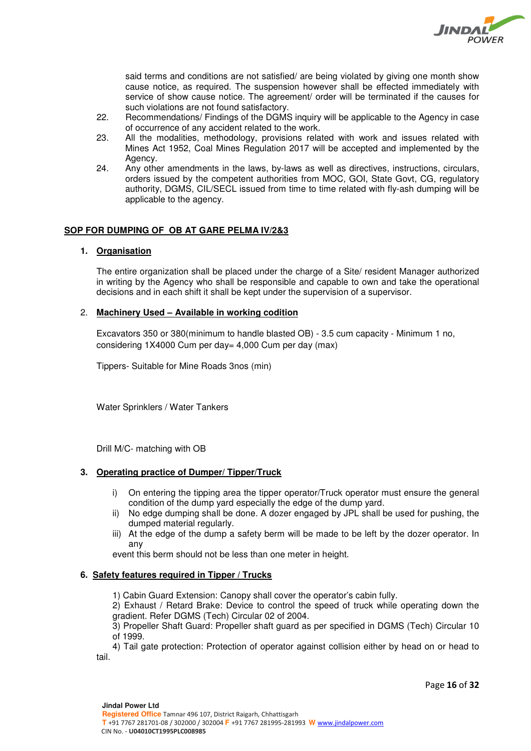

said terms and conditions are not satisfied/ are being violated by giving one month show cause notice, as required. The suspension however shall be effected immediately with service of show cause notice. The agreement/ order will be terminated if the causes for such violations are not found satisfactory.

- 22. Recommendations/ Findings of the DGMS inquiry will be applicable to the Agency in case of occurrence of any accident related to the work.
- 23. All the modalities, methodology, provisions related with work and issues related with Mines Act 1952, Coal Mines Regulation 2017 will be accepted and implemented by the Agency.
- 24. Any other amendments in the laws, by-laws as well as directives, instructions, circulars, orders issued by the competent authorities from MOC, GOI, State Govt, CG, regulatory authority, DGMS, CIL/SECL issued from time to time related with fly-ash dumping will be applicable to the agency.

# **SOP FOR DUMPING OF OB AT GARE PELMA IV/2&3**

# **1. Organisation**

The entire organization shall be placed under the charge of a Site/ resident Manager authorized in writing by the Agency who shall be responsible and capable to own and take the operational decisions and in each shift it shall be kept under the supervision of a supervisor.

# 2. **Machinery Used – Available in working codition**

Excavators 350 or 380(minimum to handle blasted OB) - 3.5 cum capacity - Minimum 1 no, considering 1X4000 Cum per day= 4,000 Cum per day (max)

Tippers- Suitable for Mine Roads 3nos (min)

Water Sprinklers / Water Tankers

Drill M/C- matching with OB

# **3. Operating practice of Dumper/ Tipper/Truck**

- i) On entering the tipping area the tipper operator/Truck operator must ensure the general condition of the dump yard especially the edge of the dump yard.
- ii) No edge dumping shall be done. A dozer engaged by JPL shall be used for pushing, the dumped material regularly.
- iii) At the edge of the dump a safety berm will be made to be left by the dozer operator. In any

event this berm should not be less than one meter in height.

# **6. Safety features required in Tipper / Trucks**

1) Cabin Guard Extension: Canopy shall cover the operator's cabin fully.

2) Exhaust / Retard Brake: Device to control the speed of truck while operating down the gradient. Refer DGMS (Tech) Circular 02 of 2004.

3) Propeller Shaft Guard: Propeller shaft guard as per specified in DGMS (Tech) Circular 10 of 1999.

4) Tail gate protection: Protection of operator against collision either by head on or head to tail.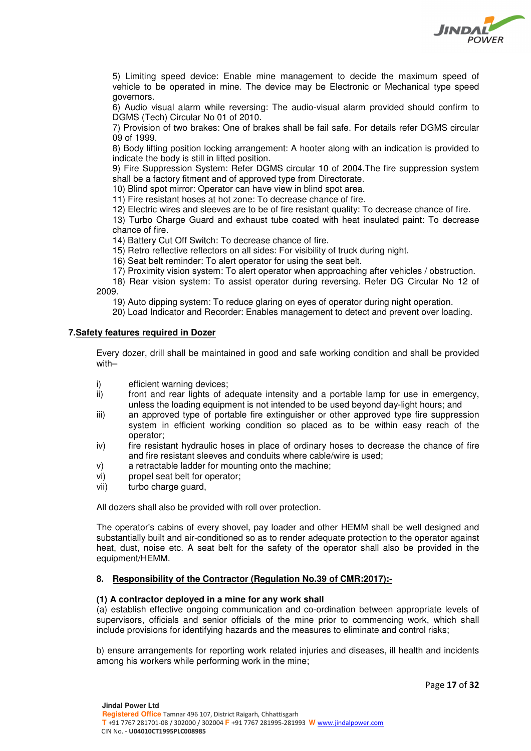

5) Limiting speed device: Enable mine management to decide the maximum speed of vehicle to be operated in mine. The device may be Electronic or Mechanical type speed governors.

6) Audio visual alarm while reversing: The audio-visual alarm provided should confirm to DGMS (Tech) Circular No 01 of 2010.

7) Provision of two brakes: One of brakes shall be fail safe. For details refer DGMS circular 09 of 1999.

8) Body lifting position locking arrangement: A hooter along with an indication is provided to indicate the body is still in lifted position.

9) Fire Suppression System: Refer DGMS circular 10 of 2004.The fire suppression system shall be a factory fitment and of approved type from Directorate.

10) Blind spot mirror: Operator can have view in blind spot area.

11) Fire resistant hoses at hot zone: To decrease chance of fire.

12) Electric wires and sleeves are to be of fire resistant quality: To decrease chance of fire.

13) Turbo Charge Guard and exhaust tube coated with heat insulated paint: To decrease chance of fire.

14) Battery Cut Off Switch: To decrease chance of fire.

15) Retro reflective reflectors on all sides: For visibility of truck during night.

16) Seat belt reminder: To alert operator for using the seat belt.

17) Proximity vision system: To alert operator when approaching after vehicles / obstruction.

18) Rear vision system: To assist operator during reversing. Refer DG Circular No 12 of 2009.

19) Auto dipping system: To reduce glaring on eyes of operator during night operation.

20) Load Indicator and Recorder: Enables management to detect and prevent over loading.

# **7.Safety features required in Dozer**

Every dozer, drill shall be maintained in good and safe working condition and shall be provided with–

- i) efficient warning devices;
- ii) front and rear lights of adequate intensity and a portable lamp for use in emergency, unless the loading equipment is not intended to be used beyond day-light hours; and
- iii) an approved type of portable fire extinguisher or other approved type fire suppression system in efficient working condition so placed as to be within easy reach of the operator;
- iv) fire resistant hydraulic hoses in place of ordinary hoses to decrease the chance of fire and fire resistant sleeves and conduits where cable/wire is used;
- v) a retractable ladder for mounting onto the machine;
- vi) propel seat belt for operator;
- vii) turbo charge guard,

All dozers shall also be provided with roll over protection.

The operator's cabins of every shovel, pay loader and other HEMM shall be well designed and substantially built and air-conditioned so as to render adequate protection to the operator against heat, dust, noise etc. A seat belt for the safety of the operator shall also be provided in the equipment/HEMM.

# **8. Responsibility of the Contractor (Regulation No.39 of CMR:2017):-**

# **(1) A contractor deployed in a mine for any work shall**

(a) establish effective ongoing communication and co-ordination between appropriate levels of supervisors, officials and senior officials of the mine prior to commencing work, which shall include provisions for identifying hazards and the measures to eliminate and control risks;

b) ensure arrangements for reporting work related injuries and diseases, ill health and incidents among his workers while performing work in the mine;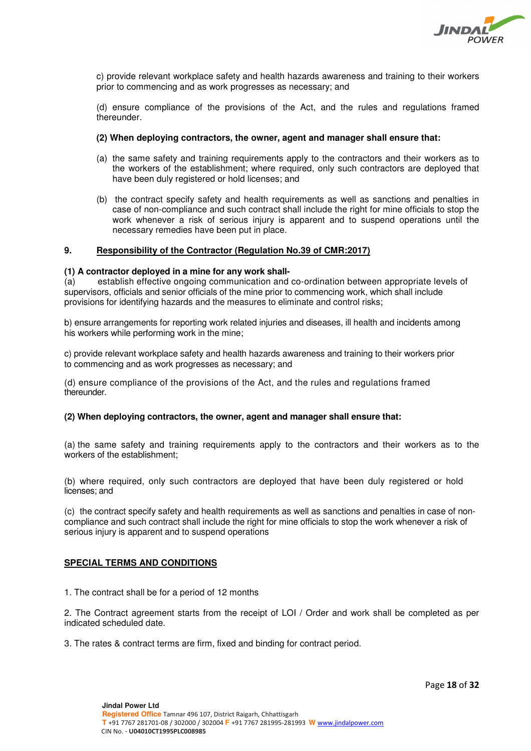

c) provide relevant workplace safety and health hazards awareness and training to their workers prior to commencing and as work progresses as necessary; and

(d) ensure compliance of the provisions of the Act, and the rules and regulations framed thereunder.

### **(2) When deploying contractors, the owner, agent and manager shall ensure that:**

- (a) the same safety and training requirements apply to the contractors and their workers as to the workers of the establishment; where required, only such contractors are deployed that have been duly registered or hold licenses; and
- (b) the contract specify safety and health requirements as well as sanctions and penalties in case of non-compliance and such contract shall include the right for mine officials to stop the work whenever a risk of serious injury is apparent and to suspend operations until the necessary remedies have been put in place.

### **9. Responsibility of the Contractor (Regulation No.39 of CMR:2017)**

### **(1) A contractor deployed in a mine for any work shall-**

(a) establish effective ongoing communication and co-ordination between appropriate levels of supervisors, officials and senior officials of the mine prior to commencing work, which shall include provisions for identifying hazards and the measures to eliminate and control risks;

b) ensure arrangements for reporting work related injuries and diseases, ill health and incidents among his workers while performing work in the mine;

c) provide relevant workplace safety and health hazards awareness and training to their workers prior to commencing and as work progresses as necessary; and

(d) ensure compliance of the provisions of the Act, and the rules and regulations framed thereunder.

### **(2) When deploying contractors, the owner, agent and manager shall ensure that:**

(a) the same safety and training requirements apply to the contractors and their workers as to the workers of the establishment;

(b) where required, only such contractors are deployed that have been duly registered or hold licenses; and

(c) the contract specify safety and health requirements as well as sanctions and penalties in case of noncompliance and such contract shall include the right for mine officials to stop the work whenever a risk of serious injury is apparent and to suspend operations

### **SPECIAL TERMS AND CONDITIONS**

1. The contract shall be for a period of 12 months

2. The Contract agreement starts from the receipt of LOI / Order and work shall be completed as per indicated scheduled date.

3. The rates & contract terms are firm, fixed and binding for contract period.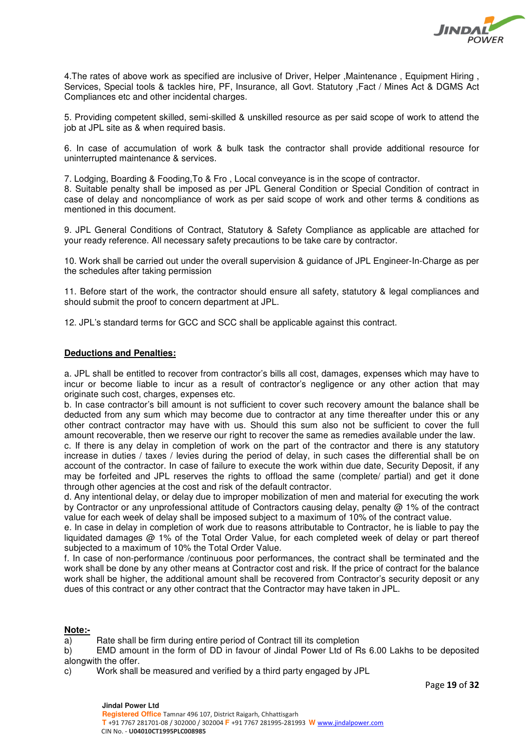

4.The rates of above work as specified are inclusive of Driver, Helper ,Maintenance , Equipment Hiring , Services, Special tools & tackles hire, PF, Insurance, all Govt. Statutory ,Fact / Mines Act & DGMS Act Compliances etc and other incidental charges.

5. Providing competent skilled, semi-skilled & unskilled resource as per said scope of work to attend the job at JPL site as & when required basis.

6. In case of accumulation of work & bulk task the contractor shall provide additional resource for uninterrupted maintenance & services.

7. Lodging, Boarding & Fooding,To & Fro , Local conveyance is in the scope of contractor. 8. Suitable penalty shall be imposed as per JPL General Condition or Special Condition of contract in case of delay and noncompliance of work as per said scope of work and other terms & conditions as mentioned in this document.

9. JPL General Conditions of Contract, Statutory & Safety Compliance as applicable are attached for your ready reference. All necessary safety precautions to be take care by contractor.

10. Work shall be carried out under the overall supervision & guidance of JPL Engineer-In-Charge as per the schedules after taking permission

11. Before start of the work, the contractor should ensure all safety, statutory & legal compliances and should submit the proof to concern department at JPL.

12. JPL's standard terms for GCC and SCC shall be applicable against this contract.

### **Deductions and Penalties:**

a. JPL shall be entitled to recover from contractor's bills all cost, damages, expenses which may have to incur or become liable to incur as a result of contractor's negligence or any other action that may originate such cost, charges, expenses etc.

b. In case contractor's bill amount is not sufficient to cover such recovery amount the balance shall be deducted from any sum which may become due to contractor at any time thereafter under this or any other contract contractor may have with us. Should this sum also not be sufficient to cover the full amount recoverable, then we reserve our right to recover the same as remedies available under the law.

c. If there is any delay in completion of work on the part of the contractor and there is any statutory increase in duties / taxes / levies during the period of delay, in such cases the differential shall be on account of the contractor. In case of failure to execute the work within due date, Security Deposit, if any may be forfeited and JPL reserves the rights to offload the same (complete/ partial) and get it done through other agencies at the cost and risk of the default contractor.

d. Any intentional delay, or delay due to improper mobilization of men and material for executing the work by Contractor or any unprofessional attitude of Contractors causing delay, penalty @ 1% of the contract value for each week of delay shall be imposed subject to a maximum of 10% of the contract value.

e. In case in delay in completion of work due to reasons attributable to Contractor, he is liable to pay the liquidated damages @ 1% of the Total Order Value, for each completed week of delay or part thereof subjected to a maximum of 10% the Total Order Value.

f. In case of non-performance /continuous poor performances, the contract shall be terminated and the work shall be done by any other means at Contractor cost and risk. If the price of contract for the balance work shall be higher, the additional amount shall be recovered from Contractor's security deposit or any dues of this contract or any other contract that the Contractor may have taken in JPL.

# **Note:-**

a) Rate shall be firm during entire period of Contract till its completion

b) EMD amount in the form of DD in favour of Jindal Power Ltd of Rs 6.00 Lakhs to be deposited alongwith the offer.

c) Work shall be measured and verified by a third party engaged by JPL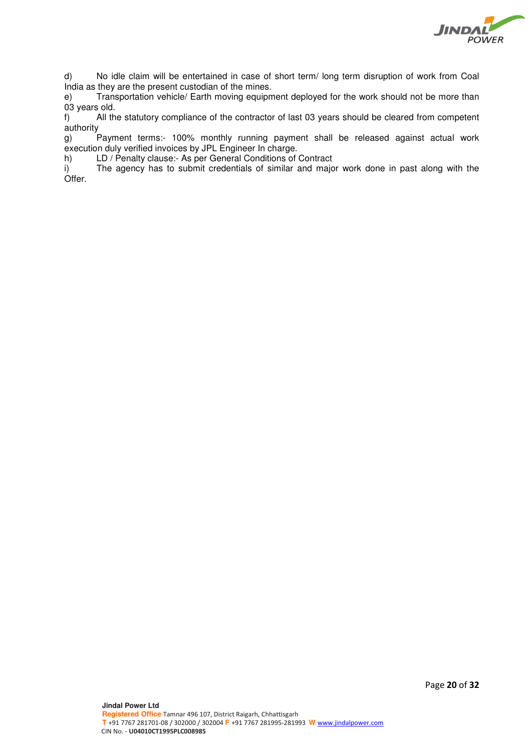

d) No idle claim will be entertained in case of short term/ long term disruption of work from Coal India as they are the present custodian of the mines.

e) Transportation vehicle/ Earth moving equipment deployed for the work should not be more than 03 years old.

f) All the statutory compliance of the contractor of last 03 years should be cleared from competent authority

g) Payment terms:- 100% monthly running payment shall be released against actual work execution duly verified invoices by JPL Engineer In charge.

h) LD / Penalty clause:- As per General Conditions of Contract

i) The agency has to submit credentials of similar and major work done in past along with the Offer.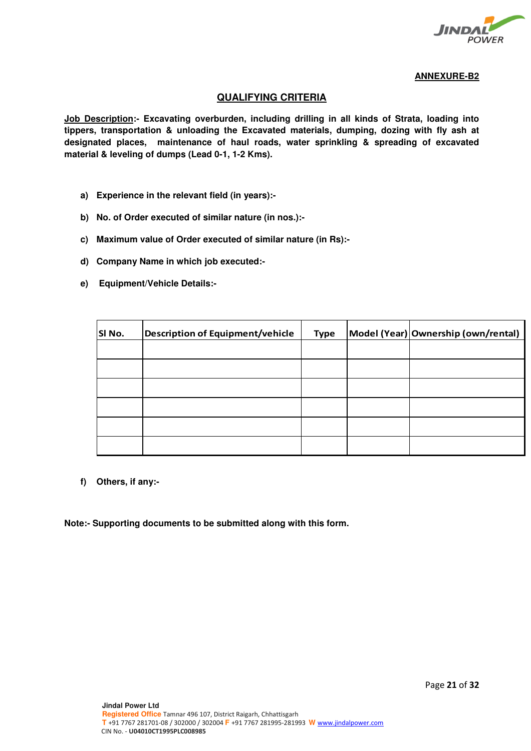

# **ANNEXURE-B2**

# **QUALIFYING CRITERIA**

**Job Description:- Excavating overburden, including drilling in all kinds of Strata, loading into tippers, transportation & unloading the Excavated materials, dumping, dozing with fly ash at designated places, maintenance of haul roads, water sprinkling & spreading of excavated material & leveling of dumps (Lead 0-1, 1-2 Kms).** 

- **a) Experience in the relevant field (in years):-**
- **b) No. of Order executed of similar nature (in nos.):-**
- **c) Maximum value of Order executed of similar nature (in Rs):-**
- **d) Company Name in which job executed:-**
- **e) Equipment/Vehicle Details:-**

| SI No. | <b>Description of Equipment/vehicle</b> | <b>Type</b> | Model (Year) Ownership (own/rental) |
|--------|-----------------------------------------|-------------|-------------------------------------|
|        |                                         |             |                                     |
|        |                                         |             |                                     |
|        |                                         |             |                                     |
|        |                                         |             |                                     |
|        |                                         |             |                                     |
|        |                                         |             |                                     |

**f) Others, if any:-** 

**Note:- Supporting documents to be submitted along with this form.**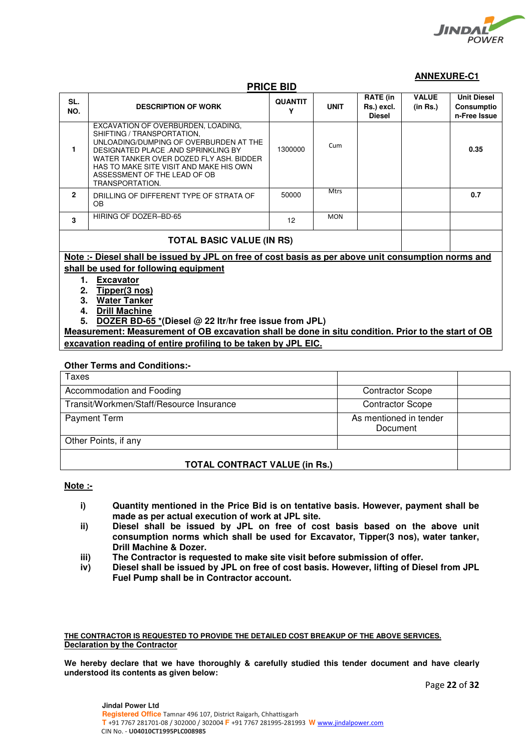

# **ANNEXURE-C1**

# **PRICE BID**

| SL.<br>NO.                            | <b>DESCRIPTION OF WORK</b>                                                                                                                                                                                                                                                                 | <b>QUANTIT</b><br>γ | <b>UNIT</b> | <b>RATE (in</b><br>Rs.) excl.<br><b>Diesel</b> | <b>VALUE</b><br>(in Rs.) | <b>Unit Diesel</b><br>Consumptio<br>n-Free Issue |  |
|---------------------------------------|--------------------------------------------------------------------------------------------------------------------------------------------------------------------------------------------------------------------------------------------------------------------------------------------|---------------------|-------------|------------------------------------------------|--------------------------|--------------------------------------------------|--|
| 1                                     | EXCAVATION OF OVERBURDEN, LOADING,<br>SHIFTING / TRANSPORTATION.<br>UNLOADING/DUMPING OF OVERBURDEN AT THE<br>DESIGNATED PLACE .AND SPRINKLING BY<br>WATER TANKER OVER DOZED FLY ASH, BIDDER<br>HAS TO MAKE SITE VISIT AND MAKE HIS OWN<br>ASSESSMENT OF THE LEAD OF OB<br>TRANSPORTATION. | 1300000             | Cum         |                                                |                          | 0.35                                             |  |
| $\overline{2}$                        | DRILLING OF DIFFERENT TYPE OF STRATA OF<br><b>OB</b>                                                                                                                                                                                                                                       | 50000               | <b>Mtrs</b> |                                                |                          | 0.7                                              |  |
| 3                                     | HIRING OF DOZER-BD-65                                                                                                                                                                                                                                                                      | 12                  | <b>MON</b>  |                                                |                          |                                                  |  |
| <b>TOTAL BASIC VALUE (IN RS)</b>      |                                                                                                                                                                                                                                                                                            |                     |             |                                                |                          |                                                  |  |
|                                       | Note: Diesel shall be issued by JPL on free of cost basis as per above unit consumption norms and                                                                                                                                                                                          |                     |             |                                                |                          |                                                  |  |
| shall be used for following equipment |                                                                                                                                                                                                                                                                                            |                     |             |                                                |                          |                                                  |  |
|                                       | <b>Excavator</b><br>1.                                                                                                                                                                                                                                                                     |                     |             |                                                |                          |                                                  |  |
|                                       | Tipper(3 nos)<br>2.                                                                                                                                                                                                                                                                        |                     |             |                                                |                          |                                                  |  |
|                                       | 3.<br><b>Water Tanker</b>                                                                                                                                                                                                                                                                  |                     |             |                                                |                          |                                                  |  |
| 4.                                    | <b>Drill Machine</b>                                                                                                                                                                                                                                                                       |                     |             |                                                |                          |                                                  |  |
|                                       | DOZER BD-65 $*$ (Diesel @ 22 ltr/hr free issue from JPL)<br>5.                                                                                                                                                                                                                             |                     |             |                                                |                          |                                                  |  |

**Measurement: Measurement of OB excavation shall be done in situ condition. Prior to the start of OB excavation reading of entire profiling to be taken by JPL EIC.** 

### **Other Terms and Conditions:-**

| <b>Taxes</b>                             |                                    |  |
|------------------------------------------|------------------------------------|--|
| Accommodation and Fooding                | <b>Contractor Scope</b>            |  |
| Transit/Workmen/Staff/Resource Insurance | <b>Contractor Scope</b>            |  |
| <b>Payment Term</b>                      | As mentioned in tender<br>Document |  |
| Other Points, if any                     |                                    |  |
| <b>TOTAL CONTRACT VALUE (in Rs.)</b>     |                                    |  |

# **Note :-**

- **i) Quantity mentioned in the Price Bid is on tentative basis. However, payment shall be made as per actual execution of work at JPL site.**
- **ii) Diesel shall be issued by JPL on free of cost basis based on the above unit consumption norms which shall be used for Excavator, Tipper(3 nos), water tanker, Drill Machine & Dozer.**
- **iii) The Contractor is requested to make site visit before submission of offer.**
- **iv) Diesel shall be issued by JPL on free of cost basis. However, lifting of Diesel from JPL Fuel Pump shall be in Contractor account.**

**THE CONTRACTOR IS REQUESTED TO PROVIDE THE DETAILED COST BREAKUP OF THE ABOVE SERVICES. Declaration by the Contractor** 

**We hereby declare that we have thoroughly & carefully studied this tender document and have clearly understood its contents as given below:**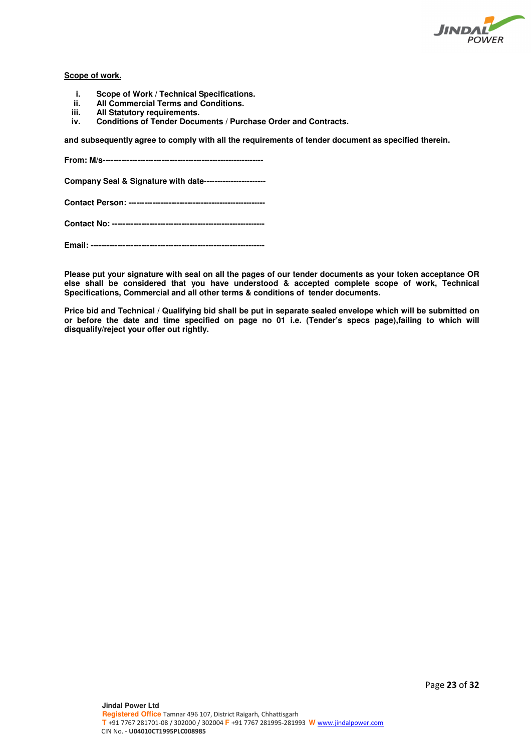

# **Scope of work.**

- **i. Scope of Work / Technical Specifications.**
- **ii. All Commercial Terms and Conditions.**
- **iii.** All Statutory requirements.<br> **iv.** Conditions of Tender Docur
- **iv. Conditions of Tender Documents / Purchase Order and Contracts.**

**and subsequently agree to comply with all the requirements of tender document as specified therein.** 

**From: M/s------------------------------------------------------------** 

**Company Seal & Signature with date-----------------------** 

**Contact Person: ---------------------------------------------------** 

**Contact No: ---------------------------------------------------------** 

**Email: -----------------------------------------------------------------** 

**Please put your signature with seal on all the pages of our tender documents as your token acceptance OR else shall be considered that you have understood & accepted complete scope of work, Technical Specifications, Commercial and all other terms & conditions of tender documents.** 

**Price bid and Technical / Qualifying bid shall be put in separate sealed envelope which will be submitted on or before the date and time specified on page no 01 i.e. (Tender's specs page),failing to which will disqualify/reject your offer out rightly.**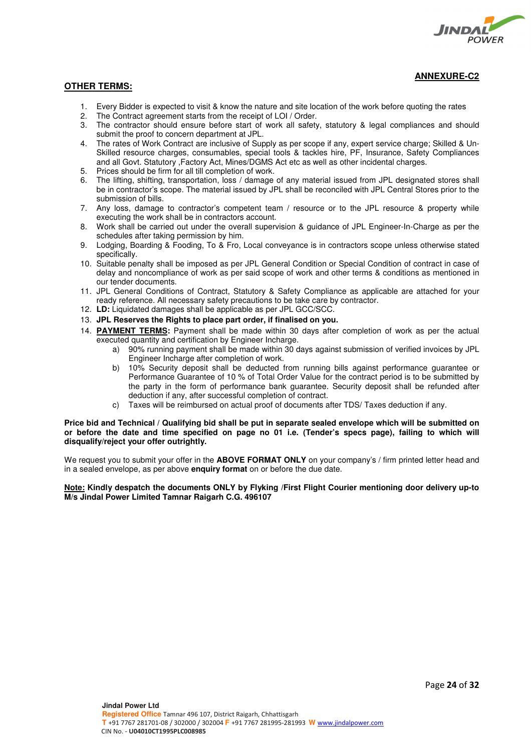

**ANNEXURE-C2**

# **OTHER TERMS:**

- 1. Every Bidder is expected to visit & know the nature and site location of the work before quoting the rates 2. The Contract agreement starts from the receipt of LOL / Order.
- 2. The Contract agreement starts from the receipt of LOI / Order.<br>3. The contractor should ensure before start of work all safety
- 3. The contractor should ensure before start of work all safety, statutory & legal compliances and should submit the proof to concern department at JPL.
- 4. The rates of Work Contract are inclusive of Supply as per scope if any, expert service charge; Skilled & Un-Skilled resource charges, consumables, special tools & tackles hire, PF, Insurance, Safety Compliances and all Govt. Statutory ,Factory Act, Mines/DGMS Act etc as well as other incidental charges.
- 5. Prices should be firm for all till completion of work.
- 6. The lifting, shifting, transportation, loss / damage of any material issued from JPL designated stores shall be in contractor's scope. The material issued by JPL shall be reconciled with JPL Central Stores prior to the submission of bills.
- 7. Any loss, damage to contractor's competent team / resource or to the JPL resource & property while executing the work shall be in contractors account.
- 8. Work shall be carried out under the overall supervision & guidance of JPL Engineer-In-Charge as per the schedules after taking permission by him.
- 9. Lodging, Boarding & Fooding, To & Fro, Local conveyance is in contractors scope unless otherwise stated specifically.
- 10. Suitable penalty shall be imposed as per JPL General Condition or Special Condition of contract in case of delay and noncompliance of work as per said scope of work and other terms & conditions as mentioned in our tender documents.
- 11. JPL General Conditions of Contract, Statutory & Safety Compliance as applicable are attached for your ready reference. All necessary safety precautions to be take care by contractor.
- 12. **LD:** Liquidated damages shall be applicable as per JPL GCC/SCC.
- 13. **JPL Reserves the Rights to place part order, if finalised on you.**
- 14. **PAYMENT TERMS:** Payment shall be made within 30 days after completion of work as per the actual executed quantity and certification by Engineer Incharge.
	- a) 90% running payment shall be made within 30 days against submission of verified invoices by JPL Engineer Incharge after completion of work.
	- b) 10% Security deposit shall be deducted from running bills against performance guarantee or Performance Guarantee of 10 % of Total Order Value for the contract period is to be submitted by the party in the form of performance bank guarantee. Security deposit shall be refunded after deduction if any, after successful completion of contract.
	- c) Taxes will be reimbursed on actual proof of documents after TDS/ Taxes deduction if any.

#### **Price bid and Technical / Qualifying bid shall be put in separate sealed envelope which will be submitted on or before the date and time specified on page no 01 i.e. (Tender's specs page), failing to which will disqualify/reject your offer outrightly.**

We request you to submit your offer in the **ABOVE FORMAT ONLY** on your company's / firm printed letter head and in a sealed envelope, as per above **enquiry format** on or before the due date.

### **Note: Kindly despatch the documents ONLY by Flyking /First Flight Courier mentioning door delivery up-to M/s Jindal Power Limited Tamnar Raigarh C.G. 496107**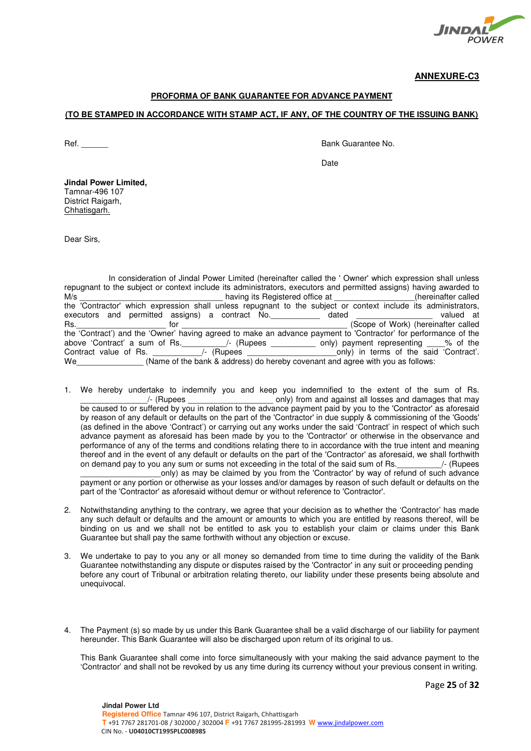

**ANNEXURE-C3**

### **PROFORMA OF BANK GUARANTEE FOR ADVANCE PAYMENT**

### **(TO BE STAMPED IN ACCORDANCE WITH STAMP ACT, IF ANY, OF THE COUNTRY OF THE ISSUING BANK)**

Ref. **Ref. Ref. Ref. Ref. Ref. Ref. Ref. Ref. Ref. Ref. Ref. Ref. Ref. Ref. Ref. Ref. Ref. Ref. Ref. Ref. Ref. Ref. Ref. Ref. Ref. Ref. Ref. Ref. Ref. Ref. Ref.**

discussion of the contract of the contract of the contract of the contract of the contract of the contract of the contract of the contract of the contract of the contract of the contract of the contract of the contract of

**Jindal Power Limited,**  Tamnar-496 107 District Raigarh, Chhatisgarh.

Dear Sirs,

 In consideration of Jindal Power Limited (hereinafter called the ' Owner' which expression shall unless repugnant to the subject or context include its administrators, executors and permitted assigns) having awarded to M/s \_\_\_\_\_\_\_\_\_\_\_\_\_\_\_\_\_\_\_\_\_\_\_\_\_\_\_\_\_\_\_\_ having its Registered office at \_\_\_\_\_\_\_\_\_\_\_\_\_\_\_\_\_\_(hereinafter called the 'Contractor' which expression shall unless repugnant to the subject or context include its administrators,<br>executors and permitted assigns) a contract No. dated valued at executors and permitted assigns) a contract No. The dated at the valued at Rs. The contract of the contract of the contract of the contract of the contract of the contract of the contract of the contract of the contract of the contract of the contract of the contract of the contract of the contra the 'Contract') and the 'Owner' having agreed to make an advance payment to 'Contractor' for performance of the above 'Contract' a sum of Rs. \_\_\_\_\_\_\_/- (Rupees \_\_\_\_\_\_\_\_\_\_\_ only) payment representing \_\_\_% of the Contract'.<br>Contract value of Rs. \_\_\_\_\_\_\_\_\_\_/- (Rupees \_\_\_\_\_\_\_\_\_\_\_\_\_\_\_\_\_\_\_only) in terms of the said 'Contract'. Contract value of Rs.  $\frac{1}{\text{Change of the bank } 8 \text{ address}}$  (Rupees \_\_\_\_\_\_\_\_\_\_\_\_\_\_\_\_\_only) in terms of the said 'Contract'. (Name of the bank & address) do hereby covenant and agree with you as follows:

1. We hereby undertake to indemnify you and keep you indemnified to the extent of the sum of Rs.<br>(Rupees only) from and against all losses and damages that may only) from and against all losses and damages that may be caused to or suffered by you in relation to the advance payment paid by you to the 'Contractor' as aforesaid by reason of any default or defaults on the part of the 'Contractor' in due supply & commissioning of the 'Goods' (as defined in the above 'Contract') or carrying out any works under the said 'Contract' in respect of which such advance payment as aforesaid has been made by you to the 'Contractor' or otherwise in the observance and performance of any of the terms and conditions relating there to in accordance with the true intent and meaning thereof and in the event of any default or defaults on the part of the 'Contractor' as aforesaid, we shall forthwith on demand pay to you any sum or sums not exceeding in the total of the said sum of Rs.  $\frac{1}{2}$  (Rupees \_\_\_\_\_\_\_\_\_\_\_\_\_\_\_\_\_\_only) as may be claimed by you from the 'Contractor' by way of refund of such advance

payment or any portion or otherwise as your losses and/or damages by reason of such default or defaults on the part of the 'Contractor' as aforesaid without demur or without reference to 'Contractor'.

- 2. Notwithstanding anything to the contrary, we agree that your decision as to whether the 'Contractor' has made any such default or defaults and the amount or amounts to which you are entitled by reasons thereof, will be binding on us and we shall not be entitled to ask you to establish your claim or claims under this Bank Guarantee but shall pay the same forthwith without any objection or excuse.
- 3. We undertake to pay to you any or all money so demanded from time to time during the validity of the Bank Guarantee notwithstanding any dispute or disputes raised by the 'Contractor' in any suit or proceeding pending before any court of Tribunal or arbitration relating thereto, our liability under these presents being absolute and unequivocal.
- 4. The Payment (s) so made by us under this Bank Guarantee shall be a valid discharge of our liability for payment hereunder. This Bank Guarantee will also be discharged upon return of its original to us.

This Bank Guarantee shall come into force simultaneously with your making the said advance payment to the 'Contractor' and shall not be revoked by us any time during its currency without your previous consent in writing.

Page **25** of **32**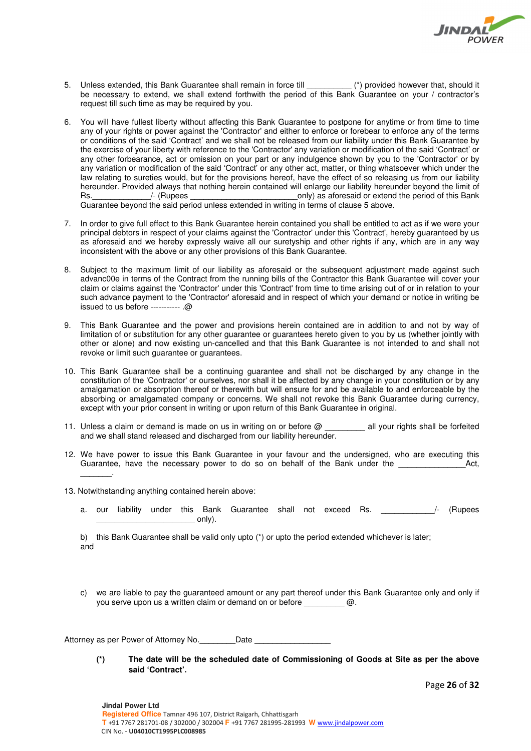

- 5. Unless extended, this Bank Guarantee shall remain in force till  $(*)$  provided however that, should it be necessary to extend, we shall extend forthwith the period of this Bank Guarantee on your / contractor's request till such time as may be required by you.
- 6. You will have fullest liberty without affecting this Bank Guarantee to postpone for anytime or from time to time any of your rights or power against the 'Contractor' and either to enforce or forebear to enforce any of the terms or conditions of the said 'Contract' and we shall not be released from our liability under this Bank Guarantee by the exercise of your liberty with reference to the 'Contractor' any variation or modification of the said 'Contract' or any other forbearance, act or omission on your part or any indulgence shown by you to the 'Contractor' or by any variation or modification of the said 'Contract' or any other act, matter, or thing whatsoever which under the law relating to sureties would, but for the provisions hereof, have the effect of so releasing us from our liability hereunder. Provided always that nothing herein contained will enlarge our liability hereunder beyond the limit of<br>Rs. (Rupees only) as aforesaid or extend the period of this Bank *conly)* as aforesaid or extend the period of this Bank Guarantee beyond the said period unless extended in writing in terms of clause 5 above.
- 7. In order to give full effect to this Bank Guarantee herein contained you shall be entitled to act as if we were your principal debtors in respect of your claims against the 'Contractor' under this 'Contract', hereby guaranteed by us as aforesaid and we hereby expressly waive all our suretyship and other rights if any, which are in any way inconsistent with the above or any other provisions of this Bank Guarantee.
- 8. Subject to the maximum limit of our liability as aforesaid or the subsequent adjustment made against such advanc00e in terms of the Contract from the running bills of the Contractor this Bank Guarantee will cover your claim or claims against the 'Contractor' under this 'Contract' from time to time arising out of or in relation to your such advance payment to the 'Contractor' aforesaid and in respect of which your demand or notice in writing be issued to us before ----------- .@
- 9. This Bank Guarantee and the power and provisions herein contained are in addition to and not by way of limitation of or substitution for any other guarantee or guarantees hereto given to you by us (whether jointly with other or alone) and now existing un-cancelled and that this Bank Guarantee is not intended to and shall not revoke or limit such guarantee or guarantees.
- 10. This Bank Guarantee shall be a continuing guarantee and shall not be discharged by any change in the constitution of the 'Contractor' or ourselves, nor shall it be affected by any change in your constitution or by any amalgamation or absorption thereof or therewith but will ensure for and be available to and enforceable by the absorbing or amalgamated company or concerns. We shall not revoke this Bank Guarantee during currency, except with your prior consent in writing or upon return of this Bank Guarantee in original.
- 11. Unless a claim or demand is made on us in writing on or before @ all your rights shall be forfeited and we shall stand released and discharged from our liability hereunder.
- 12. We have power to issue this Bank Guarantee in your favour and the undersigned, who are executing this Guarantee, have the necessary power to do so on behalf of the Bank under the **Act,** Act, \_\_\_\_\_\_\_.
- 13. Notwithstanding anything contained herein above:
	- a. our liability under this Bank Guarantee shall not exceed Rs. 4. (Rupees  $\mathsf{only}).$

b) this Bank Guarantee shall be valid only upto (\*) or upto the period extended whichever is later; and

c) we are liable to pay the guaranteed amount or any part thereof under this Bank Guarantee only and only if you serve upon us a written claim or demand on or before \_\_\_\_\_\_\_\_\_ @.

Attorney as per Power of Attorney No. Date

**(\*) The date will be the scheduled date of Commissioning of Goods at Site as per the above said 'Contract'.** 

Page **26** of **32**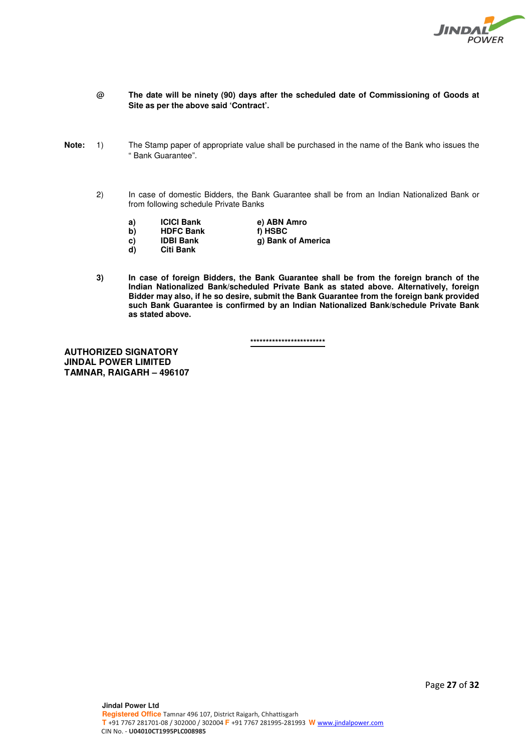

- **@ The date will be ninety (90) days after the scheduled date of Commissioning of Goods at Site as per the above said 'Contract'.**
- **Note:** 1) The Stamp paper of appropriate value shall be purchased in the name of the Bank who issues the " Bank Guarantee".
	- 2) In case of domestic Bidders, the Bank Guarantee shall be from an Indian Nationalized Bank or from following schedule Private Banks
		-
		- **a) ICICI Bank e) ABN Amro b)** HDFC Bank<br>c) IDBI Bank
		- -
- 
- 
- **g)** Bank of America
- **d) Citi Bank**
- 
- **3) In case of foreign Bidders, the Bank Guarantee shall be from the foreign branch of the Indian Nationalized Bank/scheduled Private Bank as stated above. Alternatively, foreign Bidder may also, if he so desire, submit the Bank Guarantee from the foreign bank provided such Bank Guarantee is confirmed by an Indian Nationalized Bank/schedule Private Bank as stated above.**

**\*\*\*\*\*\*\*\*\*\*\*\*\*\*\*\*\*\*\*\*\*\*\*\*** 

**AUTHORIZED SIGNATORY JINDAL POWER LIMITED TAMNAR, RAIGARH – 496107**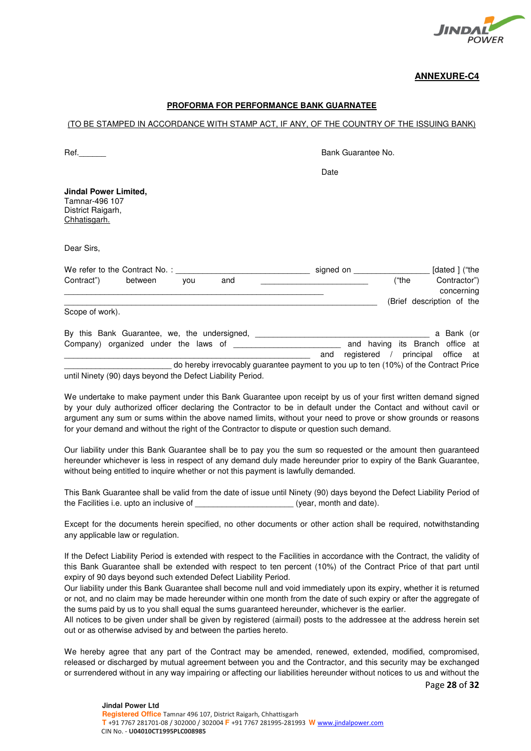

# **ANNEXURE-C4**

# **PROFORMA FOR PERFORMANCE BANK GUARNATEE**

### (TO BE STAMPED IN ACCORDANCE WITH STAMP ACT, IF ANY, OF THE COUNTRY OF THE ISSUING BANK)

Ref. The contract of the contract of the contract of the Bank Guarantee No.

|                                                                                     | Date      |       |                            |
|-------------------------------------------------------------------------------------|-----------|-------|----------------------------|
| <b>Jindal Power Limited,</b><br>Tamnar-496 107<br>District Raigarh,<br>Chhatisgarh. |           |       |                            |
| Dear Sirs,                                                                          |           |       |                            |
| We refer to the Contract No.:                                                       | signed on |       | [dated ] ("the             |
| Contract")<br>between<br>and<br>you                                                 |           | ("the | Contractor")<br>concerning |
|                                                                                     |           |       | (Brief description of the  |
| Scope of work).                                                                     |           |       |                            |
| By this Bank Guarantee, we, the undersigned,                                        |           |       | a Bank (or                 |

Company) organized under the laws of **Example 2** and having its Branch office at and registered / principal office at do hereby irrevocably guarantee payment to you up to ten (10%) of the Contract Price until Ninety (90) days beyond the Defect Liability Period.

We undertake to make payment under this Bank Guarantee upon receipt by us of your first written demand signed by your duly authorized officer declaring the Contractor to be in default under the Contact and without cavil or argument any sum or sums within the above named limits, without your need to prove or show grounds or reasons for your demand and without the right of the Contractor to dispute or question such demand.

Our liability under this Bank Guarantee shall be to pay you the sum so requested or the amount then guaranteed hereunder whichever is less in respect of any demand duly made hereunder prior to expiry of the Bank Guarantee, without being entitled to inquire whether or not this payment is lawfully demanded.

This Bank Guarantee shall be valid from the date of issue until Ninety (90) days beyond the Defect Liability Period of the Facilities i.e. upto an inclusive of  $(year, month and date)$ .

Except for the documents herein specified, no other documents or other action shall be required, notwithstanding any applicable law or regulation.

If the Defect Liability Period is extended with respect to the Facilities in accordance with the Contract, the validity of this Bank Guarantee shall be extended with respect to ten percent (10%) of the Contract Price of that part until expiry of 90 days beyond such extended Defect Liability Period.

Our liability under this Bank Guarantee shall become null and void immediately upon its expiry, whether it is returned or not, and no claim may be made hereunder within one month from the date of such expiry or after the aggregate of the sums paid by us to you shall equal the sums guaranteed hereunder, whichever is the earlier.

All notices to be given under shall be given by registered (airmail) posts to the addressee at the address herein set out or as otherwise advised by and between the parties hereto.

We hereby agree that any part of the Contract may be amended, renewed, extended, modified, compromised, released or discharged by mutual agreement between you and the Contractor, and this security may be exchanged or surrendered without in any way impairing or affecting our liabilities hereunder without notices to us and without the

Page **28** of **32**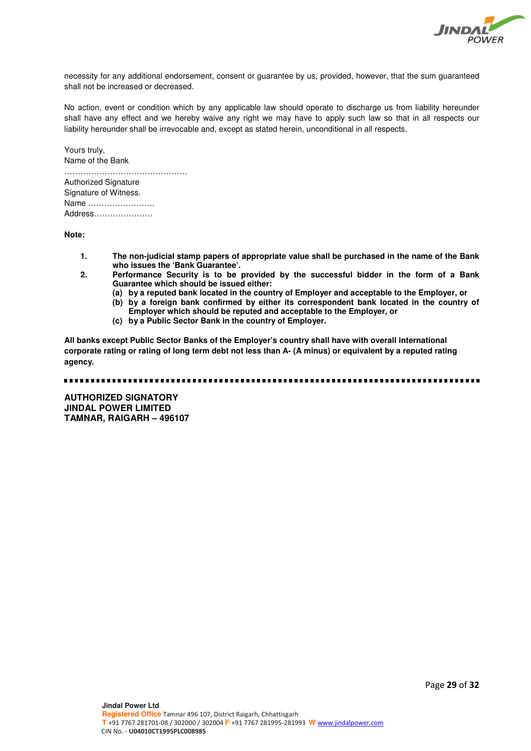

necessity for any additional endorsement, consent or guarantee by us, provided, however, that the sum guaranteed shall not be increased or decreased.

No action, event or condition which by any applicable law should operate to discharge us from liability hereunder shall have any effect and we hereby waive any right we may have to apply such law so that in all respects our liability hereunder shall be irrevocable and, except as stated herein, unconditional in all respects.

Yours truly, Name of the Bank

………………………………………. Authorized Signature Signature of Witness. Name ……………………. Address………………….

**Note:** 

- **1. The non-judicial stamp papers of appropriate value shall be purchased in the name of the Bank who issues the 'Bank Guarantee'.**
- **2. Performance Security is to be provided by the successful bidder in the form of a Bank Guarantee which should be issued either:** 
	- **(a) by a reputed bank located in the country of Employer and acceptable to the Employer, or**
	- **(b) by a foreign bank confirmed by either its correspondent bank located in the country of Employer which should be reputed and acceptable to the Employer, or**
	- **(c) by a Public Sector Bank in the country of Employer.**

**All banks except Public Sector Banks of the Employer's country shall have with overall international corporate rating or rating of long term debt not less than A- (A minus) or equivalent by a reputed rating agency.** 

**AUTHORIZED SIGNATORY JINDAL POWER LIMITED TAMNAR, RAIGARH – 496107**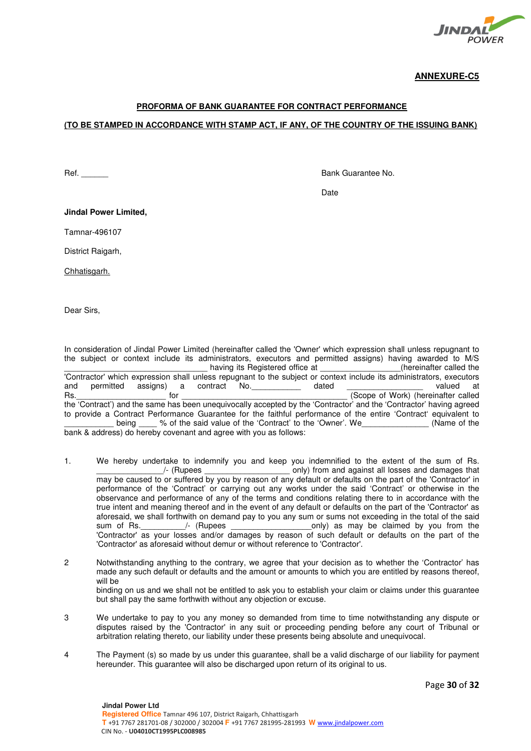

**ANNEXURE-C5**

# **PROFORMA OF BANK GUARANTEE FOR CONTRACT PERFORMANCE**

### **(TO BE STAMPED IN ACCORDANCE WITH STAMP ACT, IF ANY, OF THE COUNTRY OF THE ISSUING BANK)**

Ref. **Ref. Ref. Ref. Ref. Ref. Ref. Ref. Ref. Ref. Ref. Ref. Ref. Ref. Ref. Ref. Ref. Ref. Ref. Ref. Ref. Ref. Ref. Ref. Ref. Ref. Ref. Ref. Ref. Ref. Ref. Ref.**

discussion of the contract of the contract of the contract of the contract of the contract of the contract of the contract of the contract of the contract of the contract of the contract of the contract of the contract of

**Jindal Power Limited,** 

Tamnar-496107

District Raigarh,

Chhatisgarh.

Dear Sirs,

In consideration of Jindal Power Limited (hereinafter called the 'Owner' which expression shall unless repugnant to the subject or context include its administrators, executors and permitted assigns) having awarded to M/S having its Registered office at  $\Box$  (hereinafter called the 'Contractor' which expression shall unless repugnant to the subject or context include its administrators, executors and permitted assigns) a contract No. a dated  $\frac{1}{\sqrt{1-\frac{1}{1-\frac{1}{1-\frac{1}{1-\frac{1}{1-\frac{1}{1-\frac{1}{1-\frac{1}{1-\frac{1}{1-\frac{1}{1-\frac{1}{1-\frac{1}{1-\frac{1}{1-\frac{1}{1-\frac{1}{1-\frac{1}{1-\frac{1}{1-\frac{1}{1-\frac{1}{1-\frac{1}{1-\frac{1}{1-\frac{1}{1-\frac{1}{1-\frac{1}{1-\frac{1}{1-\frac{1}{1-\frac{1}{1-\frac{1}{1-\frac{1$ Rs. The contract of the contract of the contract of the contract of the contract of the contract of the contract of the contract of the contract of the contract of the contract of the contract of the contract of the contra the 'Contract') and the same has been unequivocally accepted by the 'Contractor' and the 'Contractor' having agreed to provide a Contract Performance Guarantee for the faithful performance of the entire 'Contract' equivalent to being being the said value of the 'Contract' to the 'Owner'. We can be in the (Name of the bank & address) do hereby covenant and agree with you as follows:

- 1. We hereby undertake to indemnify you and keep you indemnified to the extent of the sum of Rs. /- (Rupees and state only) from and against all losses and damages that may be caused to or suffered by you by reason of any default or defaults on the part of the 'Contractor' in performance of the 'Contract' or carrying out any works under the said 'Contract' or otherwise in the observance and performance of any of the terms and conditions relating there to in accordance with the true intent and meaning thereof and in the event of any default or defaults on the part of the 'Contractor' as aforesaid, we shall forthwith on demand pay to you any sum or sums not exceeding in the total of the said<br>sum of Rs. / (Rupees only) as may be claimed by you from the only) as may be claimed by you from the 'Contractor' as your losses and/or damages by reason of such default or defaults on the part of the 'Contractor' as aforesaid without demur or without reference to 'Contractor'.
- 2 Notwithstanding anything to the contrary, we agree that your decision as to whether the 'Contractor' has made any such default or defaults and the amount or amounts to which you are entitled by reasons thereof, will be binding on us and we shall not be entitled to ask you to establish your claim or claims under this guarantee but shall pay the same forthwith without any objection or excuse.
- 3 We undertake to pay to you any money so demanded from time to time notwithstanding any dispute or disputes raised by the 'Contractor' in any suit or proceeding pending before any court of Tribunal or arbitration relating thereto, our liability under these presents being absolute and unequivocal.
- 4 The Payment (s) so made by us under this guarantee, shall be a valid discharge of our liability for payment hereunder. This guarantee will also be discharged upon return of its original to us.

Page **30** of **32**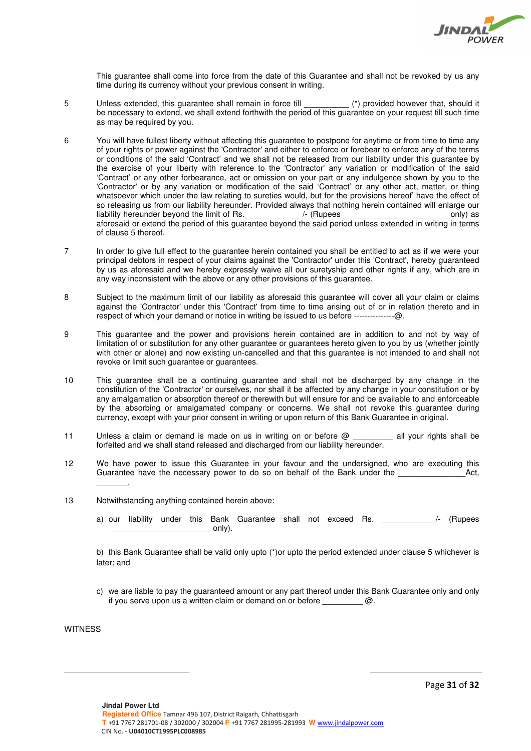

This guarantee shall come into force from the date of this Guarantee and shall not be revoked by us any time during its currency without your previous consent in writing.

- 5 Unless extended, this guarantee shall remain in force till \_\_\_\_\_\_\_\_\_\_\_\_\_ (\*) provided however that, should it be necessary to extend, we shall extend forthwith the period of this guarantee on your request till such time as may be required by you.
- 6 You will have fullest liberty without affecting this guarantee to postpone for anytime or from time to time any of your rights or power against the 'Contractor' and either to enforce or forebear to enforce any of the terms or conditions of the said 'Contract' and we shall not be released from our liability under this guarantee by the exercise of your liberty with reference to the 'Contractor' any variation or modification of the said 'Contract' or any other forbearance, act or omission on your part or any indulgence shown by you to the 'Contractor' or by any variation or modification of the said 'Contract' or any other act, matter, or thing whatsoever which under the law relating to sureties would, but for the provisions hereof' have the effect of so releasing us from our liability hereunder. Provided always that nothing herein contained will enlarge our liability hereunder beyond the limit of Rs.\_\_\_\_\_\_\_\_\_\_\_\_\_/- (Rupees \_\_\_\_\_\_\_\_\_\_\_\_\_\_\_\_\_\_\_\_\_\_\_\_only) as aforesaid or extend the period of this guarantee beyond the said period unless extended in writing in terms of clause 5 thereof.
- 7 In order to give full effect to the guarantee herein contained you shall be entitled to act as if we were your principal debtors in respect of your claims against the 'Contractor' under this 'Contract', hereby guaranteed by us as aforesaid and we hereby expressly waive all our suretyship and other rights if any, which are in any way inconsistent with the above or any other provisions of this guarantee.
- 8 Subject to the maximum limit of our liability as aforesaid this guarantee will cover all your claim or claims against the 'Contractor' under this 'Contract' from time to time arising out of or in relation thereto and in respect of which your demand or notice in writing be issued to us before -----------------@.
- 9 This guarantee and the power and provisions herein contained are in addition to and not by way of limitation of or substitution for any other guarantee or guarantees hereto given to you by us (whether jointly with other or alone) and now existing un-cancelled and that this guarantee is not intended to and shall not revoke or limit such guarantee or guarantees.
- 10 This guarantee shall be a continuing guarantee and shall not be discharged by any change in the constitution of the 'Contractor' or ourselves, nor shall it be affected by any change in your constitution or by any amalgamation or absorption thereof or therewith but will ensure for and be available to and enforceable by the absorbing or amalgamated company or concerns. We shall not revoke this guarantee during currency, except with your prior consent in writing or upon return of this Bank Guarantee in original.
- 11 Unless a claim or demand is made on us in writing on or before  $@$  all your rights shall be forfeited and we shall stand released and discharged from our liability hereunder.
- 12 We have power to issue this Guarantee in your favour and the undersigned, who are executing this Guarantee have the necessary power to do so on behalf of the Bank under the \_\_\_\_\_\_\_.
- 13 Notwithstanding anything contained herein above:
	- a) our liability under this Bank Guarantee shall not exceed Rs. 4 /- (Rupees  $\circ$ nly).

b) this Bank Guarantee shall be valid only upto (\*)or upto the period extended under clause 5 whichever is later; and

c) we are liable to pay the guaranteed amount or any part thereof under this Bank Guarantee only and only if you serve upon us a written claim or demand on or before  $\omega$ .

\_\_\_\_\_\_\_\_\_\_\_\_\_\_\_\_\_\_\_\_\_\_\_\_\_\_\_\_ \_\_\_\_\_\_\_\_\_\_\_\_\_\_\_\_\_\_\_\_\_\_\_\_\_

**WITNESS** 

Page **31** of **32**